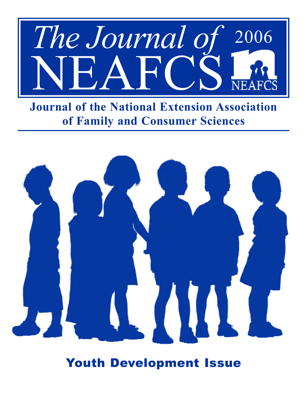

**Journal of the National Extension Association of Family and Consumer Sciences** 



Youth Development Issue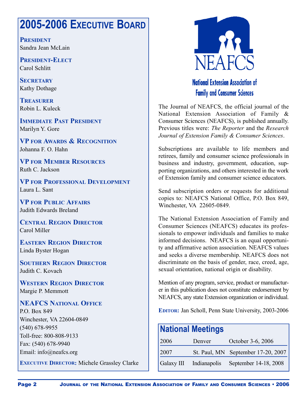## **2005-2006 EXECUTIVE BOARD**

**PRESIDENT** Sandra Jean McLain

**PRESIDENT-ELECT** Carol Schlitt

**SECRETARY** Kathy Dothage

**TREASURER** Robin L. Kuleck

**IMMEDIATE PAST PRESIDENT** Marilyn Y. Gore

**VP FOR AWARDS & RECOGNITION** Johanna F. O. Hahn

**VP FOR MEMBER RESOURCES** Ruth C. Jackson

**VP FOR PROFESSIONAL DEVELOPMENT** Laura L. Sant

**VP FOR PUBLIC AFFAIRS** Judith Edwards Breland

**CENTRAL REGION DIRECTOR** Carol Miller

**EASTERN REGION DIRECTOR** Linda Byster Hogan

**SOUTHERN REGION DIRECTOR** Judith C. Kovach

**WESTERN REGION DIRECTOR** Margie P. Memmott

## **NEAFCS NATIONAL OFFICE**

P.O. Box 849 Winchester, VA 22604-0849 (540) 678-9955 Toll-free: 800-808-9133 Fax: (540) 678-9940 Email: info@neafcs.org

**EXECUTIVE DIRECTOR:** Michele Grassley Clarke



## **National Extension Association of Family and Consumer Sciences**

The Journal of NEAFCS, the official journal of the National Extension Association of Family & Consumer Sciences (NEAFCS), is published annually. Previous titles were: *The Reporter* and the *Research Journal of Extension Family & Consumer Sciences*.

Subscriptions are available to life members and retirees, family and consumer science professionals in business and industry, government, education, supporting organizations, and others interested in the work of Extension family and consumer science educators.

Send subscription orders or requests for additional copies to: NEAFCS National Office, P.O. Box 849, Winchester, VA 22605-0849.

The National Extension Association of Family and Consumer Sciences (NEAFCS) educates its professionals to empower individuals and families to make informed decisions. NEAFCS is an equal opportunity and affirmative action association. NEAFCS values and seeks a diverse membership. NEAFCS does not discriminate on the basis of gender, race, creed, age, sexual orientation, national origin or disability.

Mention of any program, service, product or manufacturer in this publication does not constitute endorsement by NEAFCS, any state Extension organization or individual.

**EDITOR:** Jan Scholl, Penn State University, 2003-2006

| <b>National Meetings</b> |                         |                                    |  |  |
|--------------------------|-------------------------|------------------------------------|--|--|
| 2006                     | Denver                  | October 3-6, 2006                  |  |  |
| 2007                     |                         | St. Paul, MN September 17-20, 2007 |  |  |
|                          | Galaxy III Indianapolis | September 14-18, 2008              |  |  |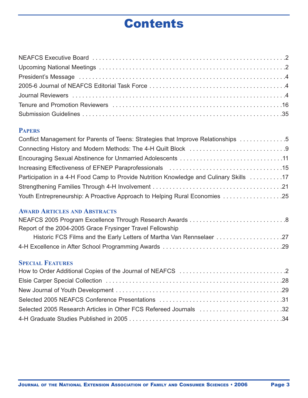# Contents

## **PAPERS**

| Conflict Management for Parents of Teens: Strategies that Improve Relationships 5      |  |
|----------------------------------------------------------------------------------------|--|
|                                                                                        |  |
|                                                                                        |  |
|                                                                                        |  |
| Participation in a 4-H Food Camp to Provide Nutrition Knowledge and Culinary Skills 17 |  |
|                                                                                        |  |
| 25. Youth Entrepreneurship: A Proactive Approach to Helping Rural Economies 25         |  |

## **AWARD ARTICLES AND ABSTRACTS**

| Report of the 2004-2005 Grace Frysinger Travel Fellowship            |  |
|----------------------------------------------------------------------|--|
| Historic FCS Films and the Early Letters of Martha Van Rennselaer 27 |  |
|                                                                      |  |

## **SPECIAL FEATURES**

| Selected 2005 Research Articles in Other FCS Refereed Journals 32 |  |
|-------------------------------------------------------------------|--|
|                                                                   |  |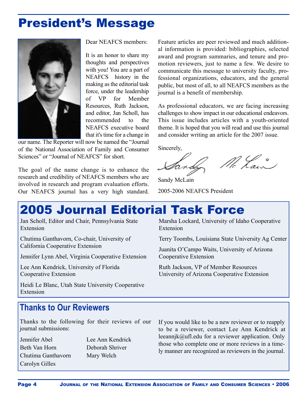## President's Message



Dear NEAFCS members:

It is an honor to share my thoughts and perspectives with you! You are a part of NEAFCS history in the making asthe editorial task force, under the leadership of VP for Member Resources, Ruth Jackson, and editor, Jan Scholl, has recommended to the NEAFCS executive board that it's time for a change in

our name. The Reporter will now be named the "Journal of the National Association of Family and Consumer Sciences" or "Journal of NEAFCS" for short.

The goal of the name change is to enhance the research and credibility of NEAFCS members who are involved in research and program evaluation efforts. Our NEAFCS journal has a very high standard.

Feature articles are peer reviewed and much additional information is provided: bibliographies, selected award and program summaries, and tenure and promotion reviewers, just to name a few. We desire to communicate this message to university faculty, professional organizations, educators, and the general public, but most of all, to all NEAFCS members as the journal is a benefit of membership.

As professional educators, we are facing increasing challenges to show impact in our educational endeavors. This issue includes articles with a youth-oriented theme. It is hoped that you will read and use this journal and consider writing an article for the 2007 issue.

Sincerely,

No Lain

Sandy McLain 2005-2006 NEAFCS President

# 2005 Journal Editorial Task Force

Jan Scholl, Editor and Chair, Pennsylvania State Extension

Chutima Ganthavorn, Co-chair, University of California Cooperative Extension

Jennifer Lynn Abel, Virginia Cooperative Extension

Lee Ann Kendrick, University of Florida Cooperative Extension

Heidi Le Blanc, Utah State University Cooperative Extension

Marsha Lockard, University of Idaho Cooperative Extension

Terry Toombs, Louisiana State University Ag Center

Juanita O'Campo Waits, University of Arizona Cooperative Extension

Ruth Jackson, VP of Member Resources University of Arizona Cooperative Extension

## **Thanks to Our Reviewers**

Thanks to the following for their reviews of our journal submissions:

Jennifer Abel Beth Van Horn Chutima Ganthavorn Carolyn Gilles

Lee Ann Kendrick Deborah Shriver Mary Welch

If you would like to be a new reviewer or to reapply to be a reviewer, contact Lee Ann Kendrick at leeannjk@ufl.edu for a reviewer application. Only those who complete one or more reviews in a timely manner are recognized as reviewers in the journal.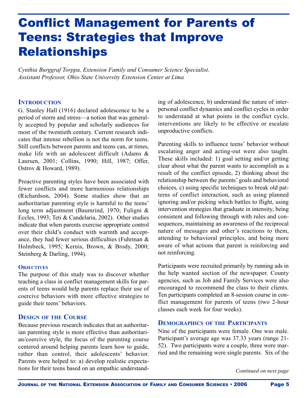# Conflict Management for Parents of Teens: Strategies that Improve Relationships

*Cynthia Burggraf Torppa, Extension Family and Consumer Science Specialist, Assistant Professor, Ohio State University Extension Center at Lima*

### **INTRODUCTION**

G. Stanley Hall (1916) declared adolescence to be a period of storm and stress—a notion that was generally accepted by popular and scholarly audiences for most of the twentieth century. Current research indicates that intense rebellion is not the norm for teens. Still conflicts between parents and teens can, at times, make life with an adolescent difficult (Adams & Laursen, 2001; Collins, 1990; Hill, 1987; Offer, Ostrov & Howard, 1989).

Proactive parenting styles have been associated with fewer conflicts and more harmonious relationships (Richardson, 2004). Some studies show that an authoritarian parenting style is harmful to the teens' long term adjustment (Baumrind, 1970; Fuligni & Eccles, 1993; Teti & Candelaria, 2002). Other studies indicate that when parents exercise appropriate control over their child's conduct with warmth and acceptance, they had fewer serious difficulties (Fuhrman & Holmbeck, 1995; Kernis, Brown, & Brody, 2000; Steinberg & Darling, 1994).

#### **OBJECTIVES**

The purpose of this study was to discover whether teaching a class in conflict management skills for parents of teens would help parents replace their use of coercive behaviors with more effective strategies to guide their teens' behaviors.

## **DESIGN OF THE COURSE**

Because previous research indicates that an authoritarian parenting style is more effective than authoritarian/coercive style, the focus of the parenting course centered around helping parents learn how to guide, rather than control, their adolescents' behavior. Parents were helped to: a) develop realistic expectations for their teens based on an empathic understand-

ing of adolescence, b) understand the nature of interpersonal conflict dynamics and conflict cycles in order to understand at what points in the conflict cycle, interventions are likely to be effective or escalate unproductive conflicts.

Parenting skills to influence teens' behavior without escalating anger and acting-out were also taught. These skills included: 1) goal setting and/or getting clear about what the parent wants to accomplish as a result of the conflict episode, 2) thinking about the relationship between the parents' goals and behavioral choices, c) using specific techniques to break old patterns of conflict interaction, such as using planned ignoring and/or picking which battles to flight, using intervention strategies that graduate in intensity, being consistent and following through with rules and consequences, maintaining an awareness of the reciprocal nature of messages and other's reactions to them, attending to behavioral principles, and being more aware of what actions that parent is reinforcing and not reinforcing.

Participants were recruited primarily by running ads in the help wanted section of the newspaper. County agencies, such as Job and Family Services were also encouraged to recommend the class to their clients. Ten participants completed an 8-session course in conflict management for parents of teens (two 2-hour classes each week for four weeks).

### **DEMOGRAPHICS OF THE PARTICIPANTS**

Nine of the participants were female. One was male. Participant's average age was 37.33 years (range 21- 52). Two participants were a couple, three were married and the remaining were single parents. Six of the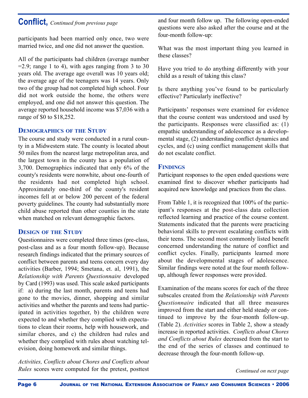## **Conflict,** *Continued from previous page*

participants had been married only once, two were married twice, and one did not answer the question.

All of the participants had children (average number  $=$  2.9; range 1 to 4), with ages ranging from 3 to 30 years old. The average age overall was 10 years old; the average age of the teenagers was 14 years. Only two of the group had not completed high school. Four did not work outside the home, the others were employed, and one did not answer this question. The average reported household income was \$7,036 with a range of \$0 to \$18,252.

## **DEMOGRAPHICS OF THE STUDY**

The course and study were conducted in a rural county in a Midwestern state. The county is located about 50 miles from the nearest large metropolitan area, and the largest town in the county has a population of 3,700. Demographics indicated that only 6% of the county's residents were nonwhite, about one-fourth of the residents had not completed high school. Approximately one-third of the county's resident incomes fell at or below 200 percent of the federal poverty guidelines. The county had substantially more child abuse reported than other counties in the state when matched on relevant demographic factors.

## **DESIGN OF THE STUDY**

Questionnaires were completed three times (pre-class, post-class and as a four month follow-up). Because research findings indicated that the primary sources of conflict between parents and teens concern every day activities (Barber, 1994; Smetana, et. al, 1991), the *Relationship with Parents Questionnaire* developed by Card (1993) was used. This scale asked participants if: a) during the last month, parents and teens had gone to the movies, dinner, shopping and similar activities and whether the parents and teens had participated in activities together, b) the children were expected to and whether they complied with expectations to clean their rooms, help with housework, and similar chores, and c) the children had rules and whether they complied with rules about watching television, doing homework and similar things.

*Activities, Conflicts about Chores and Conflicts about Rules* scores were computed for the pretest, posttest and four month follow up. The following open-ended questions were also asked after the course and at the four-month follow-up:

What was the most important thing you learned in these classes?

Have you tried to do anything differently with your child as a result of taking this class?

Is there anything you've found to be particularly effective? Particularly ineffective?

Participants' responses were examined for evidence that the course content was understood and used by the participants. Responses were classified as: (1) empathic understanding of adolescence as a developmental stage, (2) understanding conflict dynamics and cycles, and (c) using conflict management skills that do not escalate conflict.

## **FINDINGS**

Participant responses to the open ended questions were examined first to discover whether participants had acquired new knowledge and practices from the class.

From Table 1, it is recognized that 100% of the participant's responses at the post-class data collection reflected learning and practice of the course content. Statements indicated that the parents were practicing behavioral skills to prevent escalating conflicts with their teens. The second most commonly listed benefit concerned understanding the nature of conflict and conflict cycles. Finally, participants learned more about the developmental stages of adolescence. Similar findings were noted at the four month followup, although fewer responses were provided.

Examination of the means scores for each of the three subscales created from the *Relationship with Parents Questionnaire* indicated that all three measures improved from the start and either held steady or continued to improve by the four-month follow-up. (Table 2). *Activities* scores in Table 2, show a steady increase in reported activities. *Conflicts about Chores and Conflicts about Rules* decreased from the start to the end of the series of classes and continued to decrease through the four-month follow-up.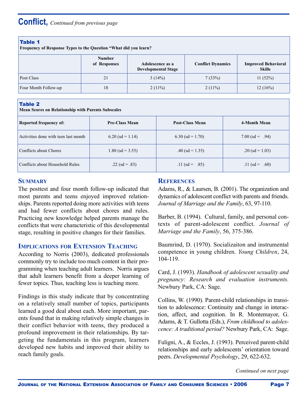| Table |
|-------|
|-------|

**Frequency of Response Types to the Question "What did you learn?**

|                      | <b>Number</b><br>of Responses | Adolescence as a<br><b>Developmental Stage</b> | <b>Conflict Dynamics</b> | <b>Improved Behavioral</b><br><b>Skills</b> |
|----------------------|-------------------------------|------------------------------------------------|--------------------------|---------------------------------------------|
| Post Class           | 21                            | 3(14%)                                         | 7(33%)                   | 11(52%)                                     |
| Four Month Follow-up | 18                            | $2(11\%)$                                      | $2(11\%)$                | 12(16%)                                     |

#### Table 2

**Mean Scores on Relationship with Parents Subscales**

| <b>Reported frequency of:</b>        | <b>Pre-Class Mean</b> | <b>Post-Class Mean</b> | 4-Month Mean      |
|--------------------------------------|-----------------------|------------------------|-------------------|
| Activities done with teen last month | $6.20$ (sd = 1.14)    | $6.30$ (sd = 1.70)     | 7.00 (sd = .94)   |
| Conflicts about Chores               | $1.80$ (sd = 3.55)    | $.40$ (sd = 1.35)      | $.20$ (sd = 1.03) |
| Conflicts about Household Rules      | .22 (sd = .83)        | .11 (sd = .85)         | $.11$ (sd = .60)  |

## **SUMMARY**

The posttest and four month follow-up indicated that most parents and teens enjoyed improved relationships. Parents reported doing more activities with teens and had fewer conflicts about chores and rules. Practicing new knowledge helped parents manage the conflicts that were characteristic of this developmental stage, resulting in positive changes for their families.

## **IMPLICATIONS FOR EXTENSION TEACHING**

According to Norris (2003), dedicated professionals commonly try to include too much content in their programming when teaching adult learners. Norris argues that adult learners benefit from a deeper learning of fewer topics. Thus, teaching less is teaching more.

Findings in this study indicate that by concentrating on a relatively small number of topics, participants learned a good deal about each. More important, parents found that in making relatively simple changes in their conflict behavior with teens, they produced a profound improvement in their relationships. By targeting the fundamentals in this program, learners developed new habits and improved their ability to reach family goals.

## **REFERENCES**

Adams, R., & Laursen, B. (2001). The organization and dynamics of adolescent conflict with parents and friends. *Journal of Marriage and the Family, 63, 97-110.* 

Barber, B. (1994). Cultural, family, and personal contexts of parent-adolescent conflict. *Journal of Marriage and the Family*, 56, 375-386.

Baumrind, D. (1970). Socializaiton and instrumental competence in young children. *Young Children*, 24, 104-119.

Card, J. (1993). *Handbook of adolescent sexuality and pregnancy: Research and evaluation instruments.* Newbury Park, CA: Sage.

Collins, W. (1990). Parent-child relationships in transition to adolescence: Continuity and change in interaction, affect, and cognition. In R. Montemayor, G. Adams, & T. Gullotta (Eds.), *From childhood to adolescence: A traditional period?* Newbury Park, CA: Sage.

Fuligni, A., & Eccles, J. (1993). Perceived parent-child relationships and early adolescents' orientation toward peers. *Developmental Psychology*, 29, 622-632.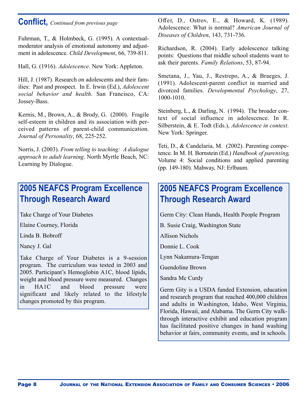## **Conflict,** *Continued from previous page*

Fuhrman, T., & Holmbeck, G. (1995). A contextualmoderator analysis of emotional autonomy and adjustment in adolescence. *Child Development*, 66, 739-811 .

Hall, G. (1916). *Adolescence*. New York: Appleton.

Hill, J. (1987). Research on adolescents and their families: Past and prospect. In E. Irwin (Ed.), *Adolescent social behavior and health*. San Francisco, CA: Jossey-Bass.

Kernis, M., Brown, A., & Brody, G. (2000). Fragile self-esteem in children and its association with perceived patterns of parent-child communication. *Journal of Personality*, 68, 225-252.

Norris, J. (2003). *From telling to teaching: A dialogue approach to adult learning*. North Myrtle Beach, NC: Learning by Dialogue.

## **2005 NEAFCS Program Excellence Through Research Award**

Take Charge of Your Diabetes

Elaine Courney, Florida

Linda B. Bobroff

Nancy J. Gal

Take Charge of Your Diabetes is a 9-session program. The curriculum was tested in 2003 and 2005. Participant's Hemoglobin A1C, blood lipids, weight and blood pressure were measured. Changes in HA1C and blood pressure were significant and likely related to the lifestyle changes promoted by this program.

Offer, D., Ostrov, E., & Howard, K. (1989). Adolescence: What is normal? *American Journal of Diseases of Children*, 143, 731-736.

Richardson, R. (2004). Early adolescence talking points: Questions that middle school students want to ask their parents. *Family Relations*, 53, 87-94.

Smetana, J., Yau, J., Restrepo, A., & Braeges, J. (1991). Adolescent-parent conflict in married and divorced families. *Developmental Psychology*, 27, 1000-1010.

Steinberg, L., & Darling, N. (1994). The broader context of social influence in adolescence. In R. Silberstein, & E. Todt (Eds.), *Adolescence in context*. New York: Springer.

Teti, D., & Candelaria, M. (2002). Parenting competence. In M. H. Bornstein (Ed.) *Handbook of parenting*, Volume 4: Social conditions and applied parenting (pp. 149-180). Mahway, NJ: Erlbaum.

## **2005 NEAFCS Program Excellence Through Research Award**

Germ City: Clean Hands, Health People Program

B. Susie Craig, Washington State

Allison Nichols

Donnie L. Cook

Lynn Nakamura-Tengan

Guendoline Brown

Sandra Mc Curdy

Germ Gity is a USDA funded Extension, education and research program that reached 400,000 children and adults in Washington, Idaho, West Virginia, Florida, Hawaii, and Alabama. The Germ City walkthrough interactive exhibit and education program has facilitated positive changes in hand washing behavior at fairs, community events, and in schools.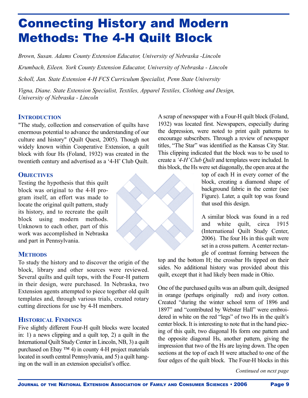# Connecting History and Modern Methods: The 4-H Quilt Block

*Brown, Susan. Adams County Extension Educator, University of Nebraska -Lincoln*

*Krumbach, Eileen. York County Extension Educator, University of Nebraska - Lincoln*

*Scholl, Jan. State Extension 4-H FCS Curriculum Specialist, Penn State University*

*Vigna, Diane. State Extension Specialist, Textiles, Apparel Textiles, Clothing and Design, University of Nebraska - Lincoln*

## **INTRODUCTION**

"The study, collection and conservation of quilts have enormous potential to advance the understanding of our culture and history" (Quilt Quest, 2005). Though not widely known within Cooperative Extension, a quilt block with four Hs (Foland, 1932) was created in the twentieth century and advertised as a '4-H' Club Quilt.

## **OBJECTIVES**

Testing the hypothesis that this quilt block was original to the 4-H program itself, an effort was made to locate the original quilt pattern, study its history, and to recreate the quilt block using modern methods. Unknown to each other, part of this work was accomplished in Nebraska and part in Pennsylvania.

## **METHODS**

To study the history and to discover the origin of the block, library and other sources were reviewed. Several quilts and quilt tops, with the Four-H pattern in their design, were purchased. In Nebraska, two Extension agents attempted to piece together old quilt templates and, through various trials, created rotary cutting directions for use by 4-H members.

## **HISTORICAL FINDINGS**

Five slightly different Four-H quilt blocks were located in: 1) a news clipping and a quilt top, 2) a quilt in the International Quilt Study Center in Lincoln, NB, 3) a quilt purchased on Ebay ™ 4) in county 4-H project materials located in south central Pennsylvania, and 5) a quilt hanging on the wall in an extension specialist's office.

A scrap of newspaper with a Four-H quilt block (Foland, 1932) was located first. Newspapers, especially during the depression, were noted to print quilt patterns to encourage subscribers. Through a review of newspaper titles, "The Star" was identified as the Kansas City Star. This clipping indicated that the block was to be used to create a '4-H' Club Quilt and templates were included. In this block, the Hs were set diagonally, the open area at the

> top of each H in every corner of the block, creating a diamond shape of background fabric in the center (see Figure). Later, a quilt top was found that used this design.

> A similar block was found in a red and white quilt, circa 1915 (International Quilt Study Center, 2006). The four Hs in this quilt were set in a cross pattern. Acenter rectangle of contrast forming between the

top and the bottom H; the crossbar Hs tipped on their sides. No additional history was provided about this quilt, except that it had likely been made in Ohio.

One of the purchased quilts was an album quilt, designed in orange (perhaps originally red) and ivory cotton. Created "during the winter school term of 1896 and 1897" and "contributed by Webster Hall" were embroidered in white on the red "legs" of two Hs in the quilt's center block. It is interesting to note that in the hand piecing of this quilt, two diagonal Hs form one pattern and the opposite diagonal Hs, another pattern, giving the impression that two of the Hs are laying down. The open sections at the top of each H were attached to one of the four edges of the quilt block. The Four-H blocks in this

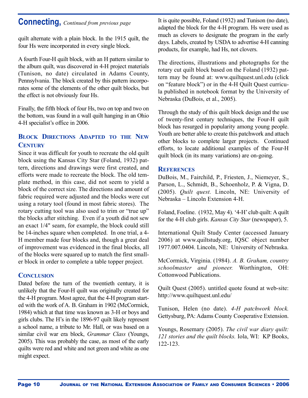## **Connecting,** *Continued from previous page*

quilt alternate with a plain block. In the 1915 quilt, the four Hs were incorporated in every single block.

A fourth Four-H quilt block, with an H pattern similar to the album quilt, was discovered in 4-H project materials (Tunison, no date) circulated in Adams County, Pennsylvania. The block created by this pattern incorporates some of the elements of the other quilt blocks, but the effect is not obviously four Hs.

Finally, the fifth block of four Hs, two on top and two on the bottom, was found in a wall quilt hanging in an Ohio 4-H specialist's office in 2006.

## **BLOCK DIRECTIONS ADAPTED TO THE NEW CENTURY**

Since it was difficult for youth to recreate the old quilt block using the Kansas City Star (Foland, 1932) pattern, directions and drawings were first created, and efforts were made to recreate the block. The old template method, in this case, did not seem to yield a block of the correct size. The directions and amount of fabric required were adjusted and the blocks were cut using a rotary tool (found in most fabric stores). The rotary cutting tool was also used to trim or "true up" the blocks after stitching. Even if a youth did not sew an exact 1/4" seam, for example, the block could still be 14-inches square when completed. In one trial, a 4- H member made four blocks and, though a great deal of improvement was evidenced in the final blocks, all of the blocks were squared up to match the first smaller block in order to complete a table topper project.

### **CONCLUSION**

Dated before the turn of the twentieth century, it is unlikely that the Four-H quilt was originally created for the 4-H program. Most agree, that the 4-H program started with the work of A. B. Graham in 1902 (McCormick, 1984) which at that time was known as 3-H or boys and girls clubs. The H's in the 1896-97 quilt likely represent a school name, a tribute to Mr. Hall, or was based on a similar civil war era block, *Grammar Class* (Youngs, 2005). This was probably the case, as most of the early quilts were red and white and not green and white as one might expect.

It is quite possible, Foland (1932) and Tunison (no date), adapted the block for the 4-H program. Hs were used as much as clovers to designate the program in the early days. Labels, created by USDA to advertise 4-H canning products, for example, had Hs, not clovers.

The directions, illustrations and photographs for the rotary cut quilt block based on the Foland (1932) pattern may be found at: www.quiltquest.unl.edu (click on "feature block") or in the 4-H Quilt Quest curricula published in notebook format by the University of Nebraska (DuBois, et al., 2005).

Through the study of this quilt block design and the use of twenty-first century techniques, the Four-H quilt block has resurged in popularity among young people. Youth are better able to create this patchwork and attach other blocks to complete larger projects. Continued efforts, to locate additional examples of the Four-H quilt block (in its many variations) are on-going.

### **REFERENCES**

DuBois, M., Fairchild, P., Friesten, J., Niemeyer, S., Parson, L., Schmidt, B., Schoenholz, P. & Vigna, D. (2005). *Quilt quest.* Lincoln, NE: University of Nebraska – Lincoln Extension 4-H.

Foland, Foeline.  $(1932, May 4)$ . '4-H' club quilt: A quilt for the 4-H club girls. *Kansas City Star* (newspaper), 5.

International Quilt Study Center (accessed January 2006) at www.quiltstudy.org, IQSC object number 1977.007.0404. Lincoln, NE: University of Nebraska.

McCormick, Virginia. (1984). *A. B. Graham, country schoolmaster and pioneer.* Worthington, OH: Cottonwood Publications.

Quilt Quest (2005). untitled quote found at web-site: http://www.quiltquest.unl.edu/

Tunison, Helen (no date). *4-H patchwork block.* Gettysburg, PA: Adams County Cooperative Extension.

Youngs, Rosemary (2005). *The civil war diary quilt: 121 stories and the quilt blocks.* Iola, WI: KP Books, 122-123.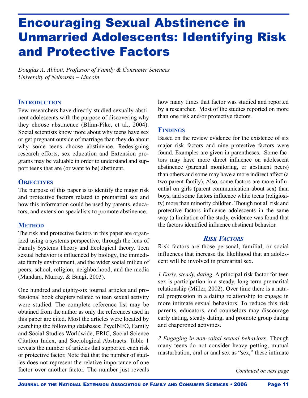# Encouraging Sexual Abstinence in Unmarried Adolescents: Identifying Risk and Protective Factors

*Douglas A. Abbott, Professor of Family & Consumer Sciences University of Nebraska – Lincoln*

## **INTRODUCTION**

Few researchers have directly studied sexually abstinent adolescents with the purpose of discovering why they choose abstinence (Blinn-Pike, et al., 2004). Social scientists know more about why teens have sex or get pregnant outside of marriage than they do about why some teens choose abstinence. Redesigning research efforts, sex education and Extension programs may be valuable in order to understand and support teens that are (or want to be) abstinent.

## **OBJECTIVES**

The purpose of this paper is to identify the major risk and protective factors related to premarital sex and how this information could be used by parents, educators, and extension specialists to promote abstinence.

## **METHOD**

The risk and protective factors in this paper are organized using a systems perspective, through the lens of Family Systems Theory and Ecological theory. Teen sexual behavior is influenced by biology, the immediate family environment, and the wider social milieu of peers, school, religion, neighborhood, and the media (Mandara, Murray, & Bangi, 2003).

One hundred and eighty-six journal articles and professional book chapters related to teen sexual activity were studied. The complete reference list may be obtained from the author as only the references used in this paper are cited. Most the articles were located by searching the following databases: PsycINFO, Family and Social Studies Worldwide, ERIC, Social Science Citation Index, and Sociological Abstracts. Table 1 reveals the number of articles that supported each risk or protective factor. Note that that the number of studies does not represent the relative importance of one factor over another factor. The number just reveals how many times that factor was studied and reported by a researcher. Most of the studies reported on more than one risk and/or protective factors.

## **FINDINGS**

Based on the review evidence for the existence of six major risk factors and nine protective factors were found. Examples are given in parentheses. Some factors may have more direct influence on adolescent abstinence (parental monitoring, or abstinent peers) than others and some may have a more indirect affect (a two-parent family). Also, some factors are more influential on girls (parent communication about sex) than boys, and some factors influence white teens (religiosity) more than minority children. Though not all risk and protective factors influence adolescents in the same way (a limitation of the study, evidence was found that the factors identified influence abstinent behavior.

## *RISK FACTORS*

Risk factors are those personal, familial, or social influences that increase the likelihood that an adolescent will be involved in premarital sex.

*1 Early, steady, dating.* A principal risk factor for teen sex is participation in a steady, long term premarital relationship (Miller, 2002). Over time there is a natural progression in a dating relationship to engage in more intimate sexual behaviors. To reduce this risk parents, educators, and counselors may discourage early dating, steady dating, and promote group dating and chaperoned activities.

*2 Engaging in non-coital sexual behaviors.* Though many teens do not consider heavy petting, mutual masturbation, oral or anal sex as "sex," these intimate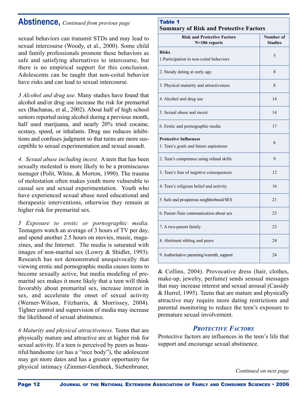## **Abstinence,** *Continued from previous page* Table 1

sexual behaviors can transmit STDs and may lead to sexual intercourse (Woody, et al., 2000). Some child and family professionals promote these behaviors as safe and satisfying alternatives to intercourse, but there is no empirical support for this conclusion. Adolescents can be taught that non-coital behavior have risks and can lead to sexual intercourse.

*3 Alcohol and drug use.* Many studies have found that alcohol and/or drug use increase the risk for premarital sex (Bachanas, et al., 2002). About half of high school seniors reported using alcohol during a previous month, half used marijuana, and nearly 20% tried cocaine, ecstasy, speed, or inhalants. Drug use reduces inhibitions and confuses judgment so that teens are more susceptible to sexual experimentation and sexual assault.

*4. Sexual abuse including incest.* A teen that has been sexually molested is more likely to be a promiscuous teenager (Polit, White, & Morton, 1990). The trauma of molestation often makes youth more vulnerable to casual sex and sexual experimentation. Youth who have experienced sexual abuse need educational and therapeutic interventions, otherwise they remain at higher risk for premarital sex.

*5 Exposure to erotic or pornographic media.* Teenagers watch an average of 3 hours of TV per day, and spend another 2.5 hours on movies, music, magazines, and the Internet. The media is saturated with images of non-marital sex (Lowry & Shidler, 1993). Research has not demonstrated unequivocally that viewing erotic and pornographic media causes teens to become sexually active, but media modeling of premarital sex makes it more likely that a teen will think favorably about premarital sex, increase interest in sex, and accelerate the onset of sexual activity (Werner-Wilson, Fitzharris,  $&$  Morrissey, 2004). Tighter control and supervision of media may increase the likelihood of sexual abstinence.

*6 Maturity and physical attractiveness.* Teens that are physically mature and attractive are at higher risk for sexual activity. If a teen is perceived by peers as beautiful/handsome (or has a "nice body"), the adolescent may get more dates and has a greater opportunity for physical intimacy (Zimmer-Gembeck, Siebenbruner,

## **Summary of Risk and Protective Factors**

| <b>Risk and Protective Factors</b><br>N=186 reports                    | Number of<br><b>Studies</b> |
|------------------------------------------------------------------------|-----------------------------|
| <b>Risks</b><br>1. Participation in non-coital behaviors               | 5                           |
| 2. Steady dating at early age                                          | 8                           |
| 3. Physical maturity and attractiveness                                | 8                           |
| 4. Alcohol and drug use                                                | 14                          |
| 5. Sexual abuse and incest                                             | 14                          |
| 6. Erotic and pornographic media                                       | 17                          |
| <b>Protective Influences</b><br>1. Teen's goals and future aspirations | 6                           |
| 2. Teen's competence using refusal skills                              | 9                           |
| 3. Teen's fear of negative consequences                                | 12                          |
| 4. Teen's religious belief and activity                                | 16                          |
| 5. Safe and prosperous neighborhood/SES                                | 21                          |
| 6. Parent-Teen communication about sex                                 | 23                          |
| 7. A two-parent family                                                 | 23                          |
| 8. Abstinent sibling and peers                                         | 24                          |
| 9. Authoritative parenting/warmth, support                             | 24                          |

& Collins, 2004). Provocative dress (hair, clothes, make-up, jewelry, perfume) sends sensual messages that may increase interest and sexual arousal (Cassidy & Hurrel, 1995). Teens that are mature and physically attractive may require more dating restrictions and parental monitoring to reduce the teen's exposure to premature sexual involvement.

## *PROTECTIVE FACTORS*

Protective factors are influences in the teen's life that support and encourage sexual abstinence.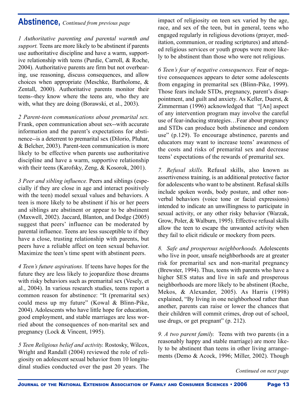## **Abstinence,** *Continued from previous page*

*1 Authoritative parenting and parental warmth and* support. Teens are more likely to be abstinent if parents use authoritative discipline and have a warm, supportive relationship with teens (Purdie, Carroll, & Roche, 2004). Authoritative parents are firm but not overbearing, use reasoning, discuss consequences, and allow choices when appropriate (Meschke, Bartholome, & Zentall, 2000). Authoritative parents monitor their teens--they know where the teens are, who they are with, what they are doing (Borawski, et al., 2003).

*2 Parent-teen communications about premarital sex.* Frank, open communication about sex--with accurate information and the parent's expectations for abstinence--is a deterrent to premarital sex (Dilorio, Pluhar, & Belcher, 2003). Parent-teen communication is more likely to be effective when parents use authoritative discipline and have a warm, supportive relationship with their teens (Karofsky, Zeng, & Kosorok, 2001).

*3 Peer and sibling influence.* Peers and siblings (especially if they are close in age and interact positively with the teen) model sexual values and behaviors. A teen is more likely to be abstinent if his or her peers and siblings are abstinent or appear to be abstinent (Maxwell, 2002). Jaccard, Blanton, and Dodge (2005) suggest that peers' influence can be moderated by parental influence. Teens are less susceptible to if they have a close, trusting relationship with parents, but peers have a reliable affect on teen sexual behavior. Maximize the teen's time spent with abstinent peers.

*4 Teen's future aspirations.* If teens have hopes for the future they are less likely to jeopardize those dreams with risky behaviors such as premarital sex (Vesely, et al., 2004). In various research studies, teens report a common reason for abstinence: "It (premarital sex) could mess up my future" (Kowal & Blinn-Pike, 2004). Adolescents who have little hope for education, good employment, and stable marriages are less worried about the consequences of non-marital sex and pregnancy (Lock & Vincent, 1995).

*5 Teen Religious belief and activity.* Rostosky, Wilcox, Wright and Randall (2004) reviewed the role of religiosity on adolescent sexual behavior from 10 longitudinal studies conducted over the past 20 years. The impact of religiosity on teen sex varied by the age, race, and sex of the teen, but in general, teens who engaged regularly in religious devotions (prayer, meditation, communion, or reading scriptures) and attended religious services or youth groups were more likely to be abstinent than those who were not religious.

*6 Teen's fear of negative consequences.* Fear of negative consequences appears to deter some adolescents from engaging in premarital sex (Blinn-Pike, 1999). Those fears include STDs, pregnancy, parent's disappointment, and guilt and anxiety. As Keller, Duerst, & Zimmerman (1996) acknowledged that "[An] aspect of any intervention program may involve the careful use of fear-inducing strategies…Fear about pregnancy and STDs can produce both abstinence and condom use" (p.129). To encourage abstinence, parents and educators may want to increase teens' awareness of the costs and risks of premarital sex and decrease teens' expectations of the rewards of premarital sex.

*7. Refusal skills.* Refusal skills, also known as assertiveness training, is an additional protective factor for adolescents who want to be abstinent. Refusal skills include spoken words, body posture, and other nonverbal behaviors (voice tone or facial expressions) intended to indicate an unwillingness to participate in sexual activity, or any other risky behavior (Warzak, Grow, Poler, & Walburn, 1995). Effective refusal skills allow the teen to escape the unwanted activity when they fail to elicit ridicule or mockery from peers.

*8. Safe and prosperous neighborhoods.* Adolescents who live in poor, unsafe neighborhoods are at greater risk for premarital sex and non-marital pregnancy (Brewster, 1994). Thus, teens with parents who have a higher SES status and live in safe and prosperous neighborhoods are more likely to be abstinent (Roche, Mekos, & Alexander, 2005). As Harris (1998) explained, "By living in one neighborhood rather than another, parents can raise or lower the chances that their children will commit crimes, drop out of school, use drugs, or get pregnant" (p. 212).

*9. A two parent family.* Teens with two parents (in a reasonably happy and stable marriage) are more likely to be abstinent than teens in other living arrangements (Demo & Acock, 1996; Miller, 2002). Though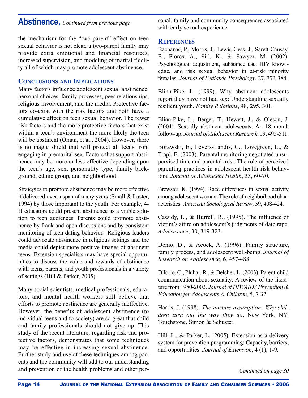## **Abstinence,** *Continued from previous page*

the mechanism for the "two-parent" effect on teen sexual behavior is not clear, a two-parent family may provide extra emotional and financial resources, increased supervision, and modeling of marital fidelity all of which may promote adolescent abstinence.

## **CONCLUSIONS AND IMPLICATIONS**

Many factors influence adolescent sexual abstinence: personal choices, family processes, peer relationships, religious involvement, and the media. Protective factors co-exist with the risk factors and both have a cumulative affect on teen sexual behavior. The fewer risk factors and the more protective factors that exist within a teen's environment the more likely the teen will be abstinent (Oman, et al., 2004). However, there is no magic shield that will protect all teens from engaging in premarital sex. Factors that support abstinence may be more or less effective depending upon the teen's age, sex, personality type, family background, ethnic group, and neighborhood.

Strategies to promote abstinence may be more effective if delivered over a span of many years (Small & Luster, 1994) by those important to the youth. For example, 4- H educators could present abstinence as a viable solution to teen audiences. Parents could promote abstinence by frank and open discussions and by consistent monitoring of teen dating behavior. Religious leaders could advocate abstinence in religious settings and the media could depict more positive images of abstinent teens. Extension specialists may have special opportunities to discuss the value and rewards of abstinence with teens, parents, and youth professionals in a variety of settings (Hill & Parker, 2005).

Many social scientists, medical professionals, educators, and mental health workers still believe that efforts to promote abstinence are generally ineffective. However, the benefits of adolescent abstinence (to individual teens and to society) are so great that child and family professionals should not give up. This study of the recent literature, regarding risk and protective factors, demonstrates that some techniques may be effective in increasing sexual abstinence. Further study and use of these techniques among parents and the community will add to our understanding and prevention of the health problems and other personal, family and community consequences associated with early sexual experience.

### **REFERENCES**

Bachanas, P., Morris, J., Lewis-Gess, J., Sarett-Causay, E., Flores, A., Sirl, K., & Sawyer, M. (2002). Psychological adjustment, substance use, HIV knowledge, and risk sexual behavior in at-risk minority females. *Journal of Pediatric Psychology*, 27, 373-384.

Blinn-Pike, L. (1999). Why abstinent adolescents report they have not had sex: Understanding sexually resilient youth. *Family Relations*, 48, 295, 301.

Blinn-Pike, L., Berger, T., Hewett, J., & Oleson, J. (2004). Sexually abstinent adolescents: An 18 month follow-up. *Journal of Adolescent Researc h*,19, 495-511 .

Borawski, E., Levers-Landis, C., Lovegreen, L., & Trapl, E. (2003). Parental monitoring negotiated unsupervised time and parental trust: The role of perceived parenting practices in adolescent health risk behaviors. *Journal of Adolescent Health*, 33, 60-70.

Brewster, K. (1994). Race differences in sexual activity among adolescent woman: The role of neighborhood characteristics. *American Sociological Review*, 59, 408-424.

Cassidy, L., & Hurrell, R., (1995). The influence of victim's attire on adolescent's judgments of date rape. *Adolescence*, 30, 319-323.

Demo, D., & Acock, A. (1996). Family structure, family process, and adolescent well-being. *Journal of Research on Adolescence*, 6, 457-488.

Dilorio, C., Pluhar, R., & Belcher, L. (2003). Parent-child communication about sexuality: A review of the literature from 1980-2002. *Journal of HIV/AIDS Prevention & Education for Adolescents & Children, 5, 7-32.* 

Harris, J. (1998). *The nurture assumption: Why chil dren turn out the way they do*. New York, NY: Touchstone, Simon & Schuster.

Hill, L., & Parker, L. (2005). Extension as a delivery system for prevention programming: Capacity, barriers, and opportunities. *Journal of Extension*, 4 (1), 1-9.

*Continued on page 30*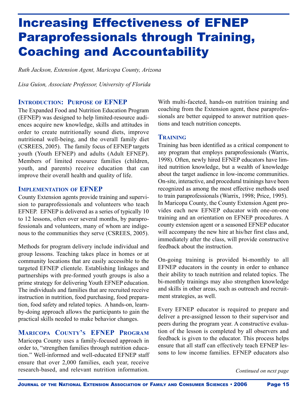# Increasing Effectiveness of EFNEP Paraprofessionals through Training, Coaching and Accountability

*Ruth Jackson, Extension Agent, Maricopa County, Arizona*

*Lisa Guion, Associate Professor, University of Florida*

#### **INTRODUCTION: PURPOSE OF EFNEP**

The Expanded Food and Nutrition Education Program (EFNEP) was designed to help limited-resource audiences acquire new knowledge, skills and attitudes in order to create nutritionally sound diets, improve nutritional well-being, and the overall family diet (CSREES, 2005). The family focus of EFNEP targets youth (Youth EFNEP) and adults (Adult EFNEP). Members of limited resource families (children, youth, and parents) receive education that can improve their overall health and quality of life.

#### **IMPLEMENTATION OF EFNEP**

County Extension agents provide training and supervision to paraprofessionals and volunteers who teach EFNEP. EFNEP is delivered as a series of typically 10 to 12 lessons, often over several months, by paraprofessionals and volunteers, many of whom are indigenous to the communities they serve (CSREES, 2005).

Methods for program delivery include individual and group lessons. Teaching takes place in homes or at community locations that are easily accessible to the targeted EFNEP clientele. Establishing linkages and partnerships with pre-formed youth groups is also a prime strategy for delivering Youth EFNEP education. The individuals and families that are recruited receive instruction in nutrition, food purchasing, food preparation, food safety and related topics. A hands-on, learnby-doing approach allows the participants to gain the practical skills needed to make behavior changes.

## **MARICOPA COUNTY'S EFNEP PROGRAM**

Maricopa County uses a family-focused approach in order to, "strengthen families through nutrition education." Well-informed and well-educated EFNEP staff ensure that over 2,000 families, each year, receive research-based, and relevant nutrition information.

With multi-faceted, hands-on nutrition training and coaching from the Extension agent, these paraprofessionals are better equipped to answer nutrition questions and teach nutrition concepts.

#### **TRAINING**

Training has been identified as a critical component to any program that employs paraprofessionals (Warrix, 1998). Often, newly hired EFNEP educators have limited nutrition knowledge, but a wealth of knowledge about the target audience in low-income communities. On-site, interactive, and procedural trainings have been recognized as among the most effective methods used to train paraprofessionals (Warrix, 1998; Price, 1995). In Maricopa County, the County Extension Agent provides each new EFNEP educator with one-on-one training and an orientation on EFNEP procedures. A county extension agent or a seasoned EFNEP educator will accompany the new hire at his/her first class and, immediately after the class, will provide constructive feedback about the instruction.

On-going training is provided bi-monthly to all EFNEP educators in the county in order to enhance their ability to teach nutrition and related topics. The bi-monthly trainings may also strengthen knowledge and skills in other areas, such as outreach and recruitment strategies, as well.

Every EFNEP educator is required to prepare and deliver a pre-assigned lesson to their supervisor and peers during the program year. A constructive evaluation of the lesson is completed by all observers and feedback is given to the educator. This process helps ensure that all staff can effectively teach EFNEP lessons to low income families. EFNEP educators also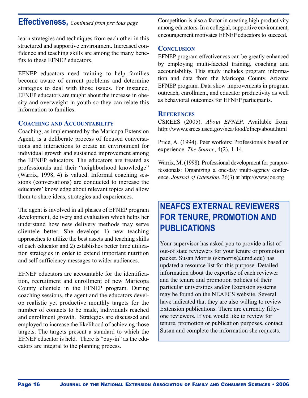## **Effectiveness,** *Continued from previous page*

learn strategies and techniques from each other in this structured and supportive environment. Increased confidence and teaching skills are among the many benefits to these EFNEP educators.

EFNEP educators need training to help families become aware of current problems and determine strategies to deal with those issues. For instance, EFNEP educators are taught about the increase in obesity and overweight in youth so they can relate this information to families.

#### **COACHING AND ACCOUNTABILITY**

Coaching, as implemented by the Maricopa Extension Agent, is a deliberate process of focused conversations and interactions to create an environment for individual growth and sustained improvement among the EFNEP educators. The educators are treated as professionals and their "neighborhood knowledge" (Warrix, 1998, 4) is valued. Informal coaching sessions (conversations) are conducted to increase the educators' knowledge about relevant topics and allow them to share ideas, strategies and experiences.

The agent is involved in all phases of EFNEP program development, delivery and evaluation which helps her understand how new delivery methods may serve clientele better. She develops 1) new teaching approaches to utilize the best assets and teaching skills of each educator and 2) establishes better time utilization strategies in order to extend important nutrition and self-sufficiency messages to wider audiences.

EFNEP educators are accountable for the identification, recruitment and enrollment of new Maricopa County clientele in the EFNEP program. During coaching sessions, the agent and the educators develop realistic yet productive monthly targets for the number of contacts to be made, individuals reached and enrollment growth. Strategies are discussed and employed to increase the likelihood of achieving those targets. The targets present a standard to which the EFNEP educator is held. There is "buy-in" as the educators are integral to the planning process.

Competition is also a factor in creating high productivity among educators. In a collegial, supportive environment, encouragement motivates EFNEP educators to succeed.

#### **CONCLUSION**

EFNEP program effectiveness can be greatly enhanced by employing multi-faceted training, coaching and accountability. This study includes program information and data from the Maricopa County, Arizona EFNEP program. Data show improvements in program outreach, enrollment, and educator productivity as well as behavioral outcomes for EFNEP participants.

#### **REFERENCES**

CSREES (2005). *About EFNEP*. Available from: http://www.csrees.used.gov/nea/food/efnep/about.html

Price, A. (1994). Peer workers: Professionals based on experience. *The Source*, 4(2), 1-14.

Warrix, M.(1998). Professional development for paraprofessionals: Organizing a one-day multi-agency conference. *Journal of Extension*, 36(3) at http://www.joe.org

## **NEAFCS EXTERNAL REVIEWERS FOR TENURE, PROMOTION AND PUBLICATIONS**

Your supervisor has asked you to provide a list of out-of state reviewers for your tenure or promotion packet. Susan Morris (skmorris@umd.edu) has updated a resource list for this purpose. Detailed information about the expertise of each reviewer and the tenure and promotion policies of their particular universities and/or Extension systems may be found on the NEAFCS website. Several have indicated that they are also willing to review Extension publications. There are currently fiftyone reviewers. If you would like to review for tenure, promotion or publication purposes, contact Susan and complete the information she requests.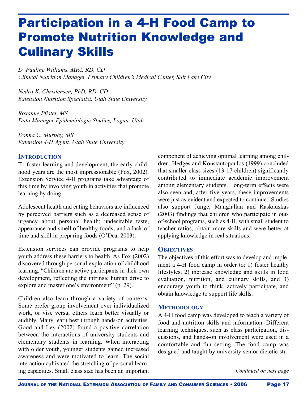# Participation in a 4-H Food Camp to Promote Nutrition Knowledge and Culinary Skills

*D. Pauline Williams, MPA, RD, CD Clinical Nutrition Manager, Primary Children's Medical Center, Salt Lake City*

*Nedra K. Christensen, PhD, RD, CD Extension Nutrition Specialist, Utah State University*

*Roxanne Pfister, MS Data Manager Epidemiologic Studies, Logan, Utah*

*Donna C. Murphy, MS Extension 4-H Agent, Utah State University*

## **INTRODUCTION**

To foster learning and development, the early childhood years are the most impressionable (Fox, 2002). Extension Service 4-H programs take advantage of this time by involving youth in activities that promote learning by doing.

Adolescent health and eating behaviors are influenced by perceived barriers such as a decreased sense of urgency about personal health; undesirable taste, appearance and smell of healthy foods; and a lack of time and skill in preparing foods (O'Dea, 2003).

Extension services can provide programs to help youth address these barriers to health. As Fox (2002) discovered through personal exploration of childhood learning, "Children are active participants in their own development, reflecting the intrinsic human drive to explore and master one's environment" (p. 29).

Children also learn through a variety of contexts. Some prefer group involvement over individualized work, or vise versa; others learn better visually or audibly. Many learn best through hands-on activities. Good and Ley (2002) found a positive correlation between the interactions of university students and elementary students in learning. When interacting with older youth, younger students gained increased awareness and were motivated to learn. The social interaction cultivated the stretching of personal learning capacities. Small class size has been an important

component of achieving optimal learning among children. Hedges and Konstantopoulos (1999) concluded that smaller class sizes (13-17 children) significantly contributed to immediate academic improvement among elementary students. Long-term effects were also seen and, after five years, these improvements were just as evident and expected to continue. Studies also support Junge, Manglallan and Raskauskas (2003) findings that children who participate in outof-school programs, such as 4-H, with small student to teacher ratios, obtain more skills and were better at applying knowledge in real situations.

## **OBJECTIVES**

The objectives of this effort was to develop and implement a 4-H food camp in order to: 1) foster healthy lifestyles, 2) increase knowledge and skills in food evaluation, nutrition, and culinary skills, and 3) encourage youth to think, actively participate, and obtain knowledge to support life skills.

### **METHODOLOGY**

A 4-H food camp was developed to teach a variety of food and nutrition skills and information. Different learning techniques, such as class participation, discussions, and hands-on involvement were used in a comfortable and fun setting. The food camp was designed and taught by university senior dietetic stu-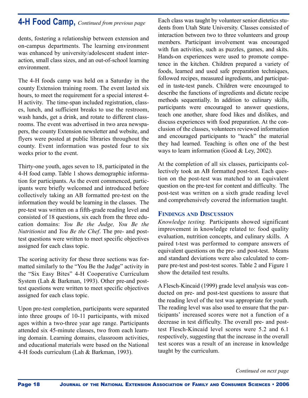## **4-H Food Camp,** *Continued from previous page*

dents, fostering a relationship between extension and on-campus departments. The learning environment was enhanced by university/adolescent student interaction, small class sizes, and an out-of-school learning environment.

The 4-H foods camp was held on a Saturday in the county Extension training room. The event lasted six hours, to meet the requirement for a special interest 4- H activity. The time-span included registration, classes, lunch, and sufficient breaks to use the restroom, wash hands, get a drink, and rotate to different classrooms. The event was advertised in two area newspapers, the county Extension newsletter and website, and flyers were posted at public libraries throughout the county. Event information was posted four to six weeks prior to the event.

Thirty-one youth, ages seven to 18, participated in the 4-H food camp. Table 1 shows demographic information for participants. As the event commenced, participants were briefly welcomed and introduced before collectively taking an AB formatted pre-test on the information they would be learning in the classes. The pre-test was written on a fifth-grade reading level and consisted of 18 questions, six each from the three education domains: *You Be the Judge, You Be the Nutritionist* and *You Be the Chef*. The pre- and posttest questions were written to meet specific objectives assigned for each class topic.

The scoring activity for these three sections was formatted similarly to the "You Be the Judge" activity in the "Six Easy Bites" 4-H Cooperative Curriculum System (Lah & Barkman, 1993). Other pre-and posttest questions were written to meet specific objectives assigned for each class topic.

Upon pre-test completion, participants were separated into three groups of 10-11 participants, with mixed ages within a two-three year age range. Participants attended six 45-minute classes, two from each learning domain. Learning domains, classroom activities, and educational materials were based on the National 4-H foods curriculum (Lah & Barkman, 1993).

Each class was taught by volunteer senior dietetics students from Utah State University. Classes consisted of interaction between two to three volunteers and group members. Participant involvement was encouraged with fun activities, such as puzzles, games, and skits. Hands-on experiences were used to promote competence in the kitchen. Children prepared a variety of foods, learned and used safe preparation techniques, followed recipes, measured ingredients, and participated in taste-test panels. Children were encouraged to describe the functions of ingredients and dictate recipe methods sequentially. In addition to culinary skills, participants were encouraged to answer questions, teach one another, share food likes and dislikes, and discuss experiences with food preparation. At the conclusion of the classes, volunteers reviewed information and encouraged participants to "teach" the material they had learned. Teaching is often one of the best ways to learn information (Good & Ley, 2002).

At the completion of all six classes, participants collectively took an AB formatted post-test. Each question on the post-test was matched to an equivalent question on the pre-test for content and difficulty. The post-test was written on a sixth grade reading level and comprehensively covered the information taught.

## **FINDINGS AND DISCUSSION**

*Knowledge testing.* Participants showed significant improvement in knowledge related to: food quality evaluation, nutrition concepts, and culinary skills. A paired t-test was performed to compare answers of equivalent questions on the pre- and post-test. Means and standard deviations were also calculated to compare pre-test and post-test scores. Table 2 and Figure 1 show the detailed test results.

A Flesch-Kincaid (1999) grade level analysis was conducted on pre- and post-test questions to assure that the reading level of the test was appropriate for youth. The reading level was also used to ensure that the participants' increased scores were not a function of a decrease in test difficulty. The overall pre- and posttest Flesch-Kincaid level scores were 5.2 and 6.1 respectively, suggesting that the increase in the overall test scores was a result of an increase in knowledge taught by the curriculum.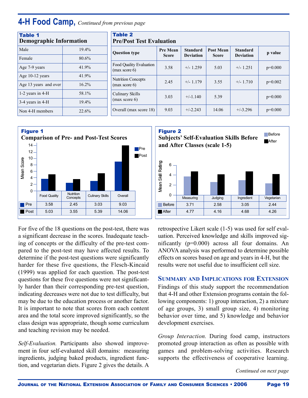## **4-H Food Camp,** *Continued from previous page*

| <b>Table 1</b><br><b>Demographic Information</b> |          | <b>Table 2</b><br><b>Pre/Post Test Evaluation</b> |                                 |                                     |                           |                                     |           |
|--------------------------------------------------|----------|---------------------------------------------------|---------------------------------|-------------------------------------|---------------------------|-------------------------------------|-----------|
| Male                                             | $19.4\%$ | <b>Question type</b>                              | <b>Pre Mean</b><br><b>Score</b> | <b>Standard</b><br><b>Deviation</b> | Post Mean<br><b>Score</b> | <b>Standard</b><br><b>Deviation</b> | p value   |
| Female                                           | $80.6\%$ |                                                   |                                 |                                     |                           |                                     |           |
| Age 7-9 years                                    | 41.9%    | Food Quality Evaluation<br>(max score 6)          | 3.58                            | $+/- 1.259$                         | 5.03                      | $+/- 1.251$                         | $p=0.000$ |
| Age $10-12$ years                                | 41.9%    | <b>Nutrition Concepts</b>                         |                                 |                                     |                           |                                     |           |
| Age 13 years and over                            | 16.2%    | (max score 6)                                     | 2.45                            | $+/- 1.179$                         | 3.55                      | $+/- 1.710$                         | $p=0.002$ |
| 1-2 years in $4-H$                               | 58.1%    | Culinary Skills                                   | 3.03                            | $+/-1.140$                          | 5.39                      |                                     | $p=0.000$ |
| 3-4 years in 4-H                                 | $19.4\%$ | (max score 6)                                     |                                 |                                     |                           |                                     |           |
| Non 4-H members                                  | 22.6%    | Overall (max score 18)                            | 9.03                            | $+/-2.243$                          | 14.06                     | $+/-3.296$                          | $p=0.000$ |



For five of the 18 questions on the post-test, there was a significant decrease in the scores. Inadequate teaching of concepts or the difficulty of the pre-test compared to the post-test may have affected results. To determine if the post-test questions were significantly harder for these five questions, the Flesch-Kincaid (1999) was applied for each question. The post-test questions for these five questions were not significantly harder than their corresponding pre-test question, indicating decreases were not due to test difficulty, but may be due to the education process or another factor. It is important to note that scores from each content area and the total score improved significantly, so the class design was appropriate, though some curriculum and teaching revision may be needed.

*Self-Evaluation.* Participants also showed improvement in four self-evaluated skill domains: measuring ingredients, judging baked products, ingredient function, and vegetarian diets. Figure 2 gives the details. A



retrospective Likert scale (1-5) was used for self evaluation. Perceived knowledge and skills improved significantly  $(p=0.000)$  across all four domains. An ANOVA analysis was performed to determine possible e ffects on scores based on age and years in 4-H, but the results were not useful due to insufficient cell size.

#### **SUMMARY AND IMPLICATIONS FOR EXTENSION**

Findings of this study support the recommendation that 4-H and other Extension programs contain the following components: 1) group interaction, 2) a mixture of age groups, 3) small group size, 4) monitoring behavior over time, and 5) knowledge and behavior development exercises.

*Group Interaction.* During food camp, instructors promoted group interaction as often as possible with games and problem-solving activities. Research supports the effectiveness of cooperative learning.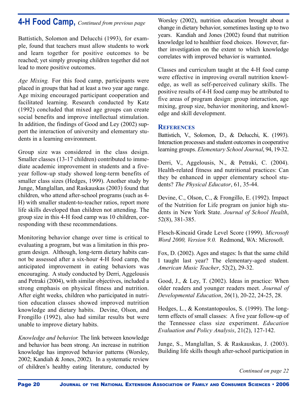## **4-H Food Camp,** *Continued from previous page*

Battistich, Solomon and Delucchi (1993), for example, found that teachers must allow students to work and learn together for positive outcomes to be reached; yet simply grouping children together did not lead to more positive outcomes.

*Age Mixing.* For this food camp, participants were placed in groups that had at least a two year age range. Age mixing encouraged participant cooperation and facilitated learning. Research conducted by Katz (1992) concluded that mixed age groups can create social benefits and improve intellectual stimulation. In addition, the findings of Good and Ley (2002) support the interaction of university and elementary students in a learning environment.

Group size was considered in the class design. Smaller classes (13-17 children) contributed to immediate academic improvement in students and a fiveyear follow-up study showed long-term benefits of smaller class sizes (Hedges, 1999). Another study by Junge, Manglallan, and Raskauskas (2003) found that children, who attend after-school programs (such as 4- H) with smaller student-to-teacher ratios, report more life skills developed than children not attending. The group size in this 4-H food camp was 10 children, corresponding with these recommendations.

Monitoring behavior change over time is critical to evaluating a program, but was a limitation in this program design. Although, long-term dietary habits cannot be assessed after a six-hour 4-H food camp, the anticipated improvement in eating behaviors was encouraging. A study conducted by Derri, Aggelousis and Petraki (2004), with similar objectives, included a strong emphasis on physical fitness and nutrition. After eight weeks, children who participated in nutrition education classes showed improved nutrition knowledge and dietary habits. Devine, Olson, and Frongillo (1992), also had similar results but were unable to improve dietary habits.

*Knowledge and behavior.* The link between knowledge and behavior has been strong. An increase in nutrition knowledge has improved behavior patterns (Worsley, 2002; Kandiah & Jones, 2002). In a systematic review of children's healthy eating literature, conducted by

Worsley (2002), nutrition education brought about a change in dietary behavior, sometimes lasting up to two years. Kandiah and Jones (2002) found that nutrition knowledge led to healthier food choices. However, further investigation on the extent to which knowledge correlates with improved behavior is warranted.

Classes and curriculum taught at the 4-H food camp were effective in improving overall nutrition knowledge, as well as self-perceived culinary skills. The positive results of 4-H food camp may be attributed to five areas of program design: group interaction, age mixing, group size, behavior monitoring, and knowledge and skill development.

### **REFERENCES**

Battistich, V., Solomon, D., & Delucchi, K. (1993). Interaction processes and student outcomes in cooperative learning groups. *Elementary School Journal*, 94, 19-32.

Derri, V., Aggelousis, N., & Petraki, C. (2004). Health-related fitness and nutritional practices: Can they be enhanced in upper elementary school students? *The Physical Educator*, 61, 35-44.

Devine, C., Olson, C., & Frongillo, E. (1992). Impact of the Nutrition for Life program on junior high students in New York State. *Journal of School Health*, 52(8), 381-385.

Flesch-Kincaid Grade Level Score (1999). *Microsoft Word 2000, Version 9.0.* Redmond, WA: Microsoft.

Fox, D. (2002). Ages and stages: Is that the same child I taught last year? The elementary-aged student. *American Music Teacher*, 52(2), 29-32.

Good, J., & Ley, T. (2002). Ideas in practice: When older readers and younger readers meet. *Journal of Developmental Education*, 26(1), 20-22, 24-25, 28.

Hedges, L., & Konstantopoulos, S. (1999). The longterm effects of small classes: A five year follow-up of the Tennessee class size experiment. *Education Evaluation and Policy Analysis*, 21(2), 127-142.

Junge, S., Manglallan, S. & Raskauskas, J. (2003). Building life skills though after-school participation in

*Continued on page 22*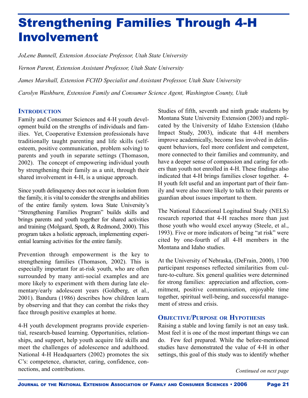# Strengthening Families Through 4-H Involvement

*JoLene Bunnell, Extension Associate Professor, Utah State University*

*Vernon Parent, Extension Assistant Professor, Utah State University*

*James Marshall, Extension FCHD Specialist and Assistant Professor, Utah State University*

*Carolyn Washburn, Extension Family and Consumer Science Agent, Washington County, Utah*

## **INTRODUCTION**

Family and Consumer Sciences and 4-H youth development build on the strengths of individuals and families. Yet, Cooperative Extension professionals have traditionally taught parenting and life skills (selfesteem, positive communication, problem solving) to parents and youth in separate settings (Thomason, 2002). The concept of empowering individual youth by strengthening their family as a unit, through their shared involvement in 4-H, is a unique approach.

Since youth delinquency does not occur in isolation from the family, it is vital to consider the strengths and abilities of the entire family system. Iowa State University's "Strengthening Families Program" builds skills and brings parents and youth together for shared activities and training (Molgaard, Spoth,  $&$  Redmond, 2000). This program takes a holistic approach, implementing experiential learning activities for the entire family.

Prevention through empowerment is the key to strengthening families (Thomason, 2002). This is especially important for at-risk youth, who are often surrounded by many anti-social examples and are more likely to experiment with them during late elementary/early adolescent years (Goldberg, et al., 2001). Bandura (1986) describes how children learn by observing and that they can combat the risks they face through positive examples at home.

4-H youth development programs provide experiential, research-based learning. Opportunities, relationships, and support, help youth acquire life skills and meet the challenges of adolescence and adulthood. National 4-H Headquarters (2002) promotes the six C's: competence, character, caring, confidence, connections, and contributions.

Studies of fifth, seventh and ninth grade students by Montana State University Extension (2003) and replicated by the University of Idaho Extension (Idaho Impact Study, 2003), indicate that 4-H members improve academically, become less involved in delinquent behaviors, feel more confident and competent, more connected to their families and community, and have a deeper sense of compassion and caring for others than youth not enrolled in 4-H. These findings also indicated that 4-H brings families closer together. 4- H youth felt useful and an important part of their family and were also more likely to talk to their parents or guardian about issues important to them.

The National Educational Logitudinal Study (NELS) research reported that 4-H reaches more than just those youth who would excel anyway (Steele, et al., 1993). Five or more indicators of being "at risk" were cited by one-fourth of all 4-H members in the Montana and Idaho studies.

At the University of Nebraska, (DeFrain, 2000), 1700 participant responses reflected similarities from culture-to-culture. Six general qualities were determined for strong families: appreciation and affection, commitment, positive communication, enjoyable time together, spiritual well-being, and successful management of stress and crisis.

### **OBJECTIVE/PURPOSE OR HYPOTHESIS**

Raising a stable and loving family is not an easy task. Most feel it is one of the most important things we can do. Few feel prepared. While the before-mentioned studies have demonstrated the value of 4-H in other settings, this goal of this study was to identify whether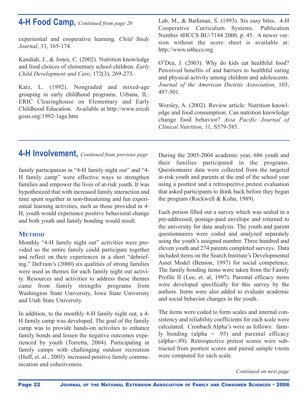## **4-H Food Camp,** *Continued from page 20*

experiential and cooperative learning. *Child Study Journal*, 33, 165-174.

Kandiah, J., & Jones, C. (2002). Nutrition knowledge and food choices of elementary school children. *Early Child Development and Care*, 172(3), 269-273.

Katz, L. (1992). Nongraded and mixed-age grouping in early childhood programs. Urbana, IL: ERIC Clearinghouse on Elementary and Early Childhood Education. Available at http://www.ericdi gests.org/1992-1age.htm

**4-H Involvement,** *Continued from previous page*

family participation in "4-H family night out" and "4- H family camp" were effective ways to strengthen families and empower the lives of at-risk youth. It was hypothesized that with increased family interaction and time spent together in non-threatening and fun experiential learning activities, such as those provided in 4- H, youth would experience positive behavioral change and both youth and family bonding would result.

### **METHOD**

Monthly "4-H family night out" activities were provided so the entire family could participate together and reflect on their experiences in a short "debriefing." DeFrain's (2000) six qualities of strong families were used as themes for each family night out activity. Resources and activities to address these themes came from family strengths programs from Washington State University, Iowa State University and Utah State University.

In addition, to the monthly 4-H family night out, a 4- H family camp was developed. The goal of the family camp was to provide hands-on activities to enhance family bonds and lessen the negative outcomes experienced by youth (Torretta, 2004). Participating in family camps with challenging outdoor recreation (Huff, et. al., 2003) increased positive family communication and cohesiveness.

Lah, M., & Barkman, S. (1993). Six easy bites. 4-H Cooperative Curriculum Systems. Publication Number 4HCCS BU-7144 2000, p. 45. A newer version without the score sheet is available at: http://www.n4hccs.org

O'Dea, J. (2003). Why do kids eat healthful food? Perceived benefits of and barriers to healthful eating and physical activity among children and adolescents. *Journal of the American Dietetic Association*, 103, 497-501.

Worsley, A. (2002). Review article: Nutrition knowledge and food consumption: Can nutrition knowledge change food behavior? *Asia Pacific Journal of Clinical Nutrition*, 11, S579-585.

During the 2003-2004 academic year, 686 youth and their families participated in the programs. Questionnaire data were collected from the targeted at-risk youth and parents at the end of the school year using a posttest and a retrospective pretest evaluation that asked participants to think back before they began the program (Rockwell & Kohn, 1989).

Each person filled out a survey which was sealed in a pre-addressed, postage-paid envelope and returned to the university for data analysis. The youth and parent questionnaires were coded and analyzed separately using the youth's assigned number. Three hundred and eleven youth and 274 parents completed surveys. Data included items on the Search Institute's Developmental Asset Model (Benson, 1997) for social competence. The family bonding items were taken from the Family Profile II (Lee, et. al, 1997). Parental efficacy items were developed specifically for this survey by the authors. Items were also added to evaluate academic and social behavior changes in the youth.

The items were coded to form scales and internal consistency and reliability coefficients for each scale were calculated. Cronbach Alpha's were as follows: family bonding (alpha = .93) and parental efficacy (alpha=.89). Retrospective pretest scores were subtracted from posttest scores and paired sample t-tests were computed for each scale.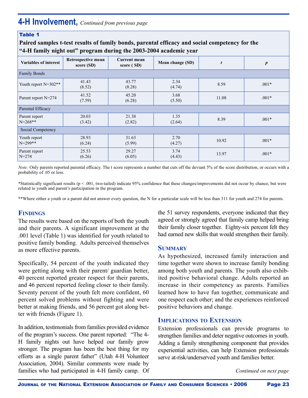## **4-H Involvement,** *Continued from previous page*

#### Table 1

**Paired samples t-test results of family bonds, parental efficacy and social competency for the "4-H family night out" program during the 2003-2004 academic year**

|                               | o                                | o                                 |                  |       |                  |  |
|-------------------------------|----------------------------------|-----------------------------------|------------------|-------|------------------|--|
| <b>Variables of interest</b>  | Retrospective mean<br>score (SD) | <b>Current mean</b><br>score (SD) | Mean change (SD) |       | $\boldsymbol{p}$ |  |
| <b>Family Bonds</b>           |                                  |                                   |                  |       |                  |  |
| Youth report N=302**          | 41.43<br>(8.52)                  | 43.77<br>(8.28)                   | 2.34<br>(4.74)   | 8.59  | $.001*$          |  |
| Parent report N=274           | 41.52<br>(7.59)                  | 45.20<br>(6.28)                   | 3.68<br>(5.50)   | 11.08 | $.001*$          |  |
| Parental Efficacy             |                                  |                                   |                  |       |                  |  |
| Parent report<br>$N = 268$ ** | 20.03<br>(3.42)                  | 21.38<br>(2.82)                   | 1.35<br>(2.64)   | 8.39  | $.001*$          |  |
| Social Competency             |                                  |                                   |                  |       |                  |  |
| Youth report<br>$N = 299$ **  | 28.93<br>(6.24)                  | 31.63<br>(5.99)                   | 2.70<br>(4.27)   | 10.92 | $.001*$          |  |
| Parent report<br>$N=274$      | 25.53<br>(6.26)                  | 29.27<br>(6.05)                   | 3.74<br>(4.43)   | 13.97 | $.001*$          |  |

*Note:* Only parents reported parental efficacy. The t score represents a number that cuts off the deviant 5% of the score distribution, or occurs with a probability of .05 or less.

\*Statistically significant results (p < .001, two-tailed) indicate 95% confidence that these changes/improvements did not occur by chance, but were related to youth and parent's participation in the program.

\*\*Where either a youth or a parent did not answer every question, the N for a particular scale will be less than 311 for youth and 274 for parents.

## **FINDINGS**

The results were based on the reports of both the youth and their parents. A significant improvement at the .001 level (Table 1) was identified for youth related to positive family bonding. Adults perceived themselves as more effective parents.

Specifically, 54 percent of the youth indicated they were getting along with their parent/ guardian better, 40 percent reported greater respect for their parents, and 46 percent reported feeling closer to their family. Seventy percent of the youth felt more confident, 60 percent solved problems without fighting and were better at making friends, and 56 percent got along better with friends (Figure 1).

In addition, testimonials from families provided evidence of the program's success. One parent reported: "The 4- H family nights out have helped our family grow stronger. The program has been the best thing for my efforts as a single parent father" (Utah 4-H Volunteer Association, 2004). Similar comments were made by families who had participated in 4-H family camp. Of the 51 survey respondents, everyone indicated that they agreed or strongly agreed that family camp helped bring their family closer together. Eighty-six percent felt they had earned new skills that would strengthen their family.

#### **SUMMARY**

As hypothesized, increased family interaction and time together were shown to increase family bonding among both youth and parents. The youth also exhibited positive behavioral change. Adults reported an increase in their competency as parents. Families learned how to have fun together, communicate and one respect each other; and the experiences reinforced positive behaviors and change.

#### **IMPLICATIONS TO EXTENSION**

Extension professionals can provide programs to strengthen families and deter negative outcomes in youth. Adding a family strengthening component that provides experiential activities, can help Extension professionals serve at-risk/underserved youth and families better.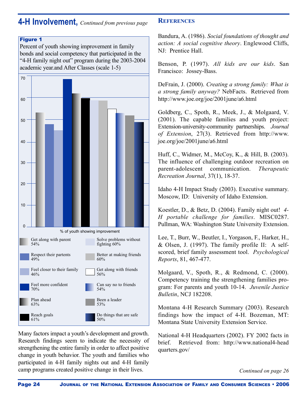## **4-H Involvement,** *Continued from previous page*

#### **Figure 1**

Percent of youth showing improvement in family bonds and social competency that participated in the "4-H family night out" program during the 2003-2004 academic year.and After Classes (scale 1-5)



Many factors impact a youth's development and growth. Research findings seem to indicate the necessity of strengthening the entire family in order to affect positive change in youth behavior. The youth and families who participated in 4-H family nights out and 4-H family camp programs created positive change in their lives.

## **REFERENCES**

Bandura, A. (1986). *Social foundations of thought and action: A social cognitive theory*. Englewood Cliffs, NJ: Prentice Hall.

Benson, P. (1997). *All kids are our kids*. San Francisco: Jossey-Bass.

DeFrain, J. (2000). *Creating a strong family: What is a strong family anyway?* NebFacts. Retrieved from http://www.joe.org/joe/2001june/a6.html

Goldberg, C., Spoth, R., Meek, J., & Molgaard, V. (2001). The capable families and youth project: Extension-university-community partnerships. *Journal of Extension*, 27(3). Retrieved from http://www. joe.org/joe/2001june/a6.html

Huff, C., Widmer, M., McCoy, K., & Hill, B. (2003). The influence of challenging outdoor recreation on parent-adolescent communication. *The rapeutic Recreation Journal*, 37(1), 18-37.

Idaho 4-H Impact Study (2003). Executive summary. Moscow, ID: University of Idaho Extension.

Koestler, D., & Betz, D. (2004). Family night out! *4- H portable challenge for families*. MISC0287. Pullman, WA: Washington State University Extension.

Lee, T., Burr, W., Beutler, I., Yorgason, F., Harker, H., & Olsen, J. (1997). The family profile II: A selfscored, brief family assessment tool. *Psychological Reports*, 81, 467-477.

Molgaard, V., Spoth, R., & Redmond, C. (2000). Competency training the strengthening families program: For parents and youth 10-14. *Juvenile Justice Bulletin*, NCJ 182208.

Montana 4-H Research Summary (2003). Research findings how the impact of 4-H. Bozeman, MT: Montana State University Extension Service.

National 4-H Headquarters (2002). FY 2002 facts in brief. Retrieved from: http://www.national4-head quarters.gov/

*Continued on page 26*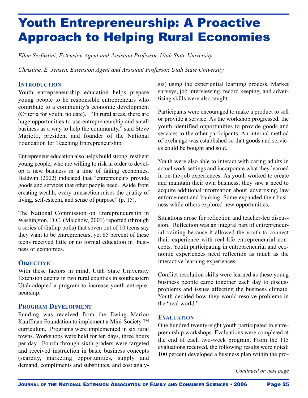# Youth Entrepreneurship: A Proactive Approach to Helping Rural Economies

*Ellen Serfustini, Extension Agent and Assistant Professor, Utah State University*

*Christine, E. Jensen, Extension Agent and Assistant Professor, Utah State University*

## **INTRODUCTION**

Youth entrepreneurship education helps prepare young people to be responsible entrepreneurs who contribute to a community's economic development (Criteria for youth, no date). "In rural areas, there are huge opportunities to use entrepreneurship and small business as a way to help the community," said Steve Mariotti, president and founder of the National Foundation for Teaching Entrepreneurship.

Entrepreneur education also helps build strong, resilient young people, who are willing to risk in order to develop a new business in a time of failing economies. Baldwin (2002) indicated that "entrepreneurs provide goods and services that other people need. Aside from creating wealth, every transaction raises the quality of living, self-esteem, and sense of purpose" (p. 15).

The National Commission on Entrepreneurship in Washington, D.C. (Malchow, 2001) reported (through a series of Gallup polls) that seven out of 10 teens say they want to be entrepreneurs, yet 85 percent of these teens received little or no formal education in business or economics.

## **OBJECTIVE**

With these factors in mind, Utah State University Extension agents in two rural counties in southeastern Utah adopted a program to increase youth entrepreneurship.

## **PROGRAM DEVELOPMENT**

Funding was received from the Ewing Marion Kauffman Foundation to implement a Mini-Society ™ curriculum. Programs were implemented in six rural towns. Workshops were held for ten days, three hours per day. Fourth through sixth graders were targeted and received instruction in basic business concepts (scarcity, marketing opportunities, supply and demand, compliments and substitutes, and cost analysis) using the experiential learning process. Market surveys, job interviewing, record keeping, and advertising skills were also taught.

Participants were encouraged to make a product to sell or provide a service. As the workshop progressed, the youth identified opportunities to provide goods and services to the other participants. An internal method of exchange was established so that goods and services could be bought and sold.

Youth were also able to interact with caring adults in actual work settings and incorporate what they learned in on-the-job experiences. As youth worked to create and maintain their own business, they saw a need to acquire additional information about advertising, law enforcement and banking. Some expanded their business while others explored new opportunities.

Situations arose for reflection and teacher-led discussion. Reflection was an integral part of entrepreneurial training because it allowed the youth to connect their experience with real-life entrepreneurial concepts. Youth participating in entrepreneurial and economic experiences need reflection as much as the interactive learning experiences.

Conflict resolution skills were learned as these young business people came together each day to discuss problems and issues affecting the business climate. Youth decided how they would resolve problems in the "real world."

### **EVALUATION**

One hundred twenty-eight youth participated in entreprenurship workshops. Evaluations were completed at the end of each two-week program. From the 115 evaluations received, the following results were noted: 100 percent developed a business plan within the pro-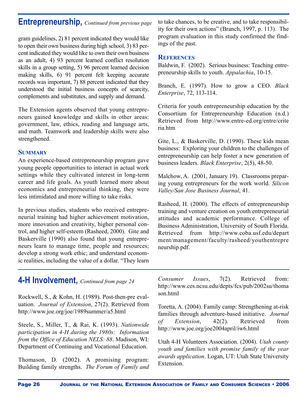## **Entrepreneurship,** *Continued from previous page*

gram guidelines, 2) 81 percent indicated they would like to open their own business during high school, 3) 83 percent indicated they would like to own their own business as an adult, 4) 93 percent learned conflict resolution skills in a group setting, 5) 96 percent learned decision making skills, 6) 91 percent felt keeping accurate records was important, 7) 88 percent indicated that they understood the initial business concepts of scarcity, complements and substitutes, and supply and demand.

The Extension agents observed that young entrepreneurs gained knowledge and skills in other areas: government, law, ethics, reading and language arts, and math. Teamwork and leadership skills were also strengthened.

## **SUMMARY**

An experience-based entrepreneurship program gave young people opportunities to interact in actual work settings while they cultivated interest in long-term career and life goals. As youth learned more about economics and entrepreneurial thinking, they were less intimidated and more willing to take risks.

In previous studies, students who received entrepreneurial training had higher achievement motivation, more innovation and creativity, higher personal control, and higher self-esteem (Rasheed, 2000). Gite and Baskerville (1990) also found that young entrepreneurs learn to manage time, people and resources; develop a strong work ethic; and understand economic realities, including the value of a dollar. "They learn

to take chances, to be creative, and to take responsibility for their own actions" (Branch, 1997, p. 113). The program evaluation in this study confirmed the findings of the past.

## **REFERENCES**

Baldwin, F. (2002). Serious business: Teaching entrepreneurship skills to youth. *Appalachia*, 10-15.

Branch, E. (1997). How to grow a CEO. *Black Enterprise*, 72, 113-114.

Criteria for youth entrepreneurship education by the Consortium for Entrepreneurship Education (n.d.) Retrieved from http://www.entre-ed.org/entre/crite ria.htm

Gite, L., & Baskerville, D. (1990). These kids mean business: Exploring your children to the challenges of entrepreneurship can help foster a new generation of business leaders. *Black Enterprise*, 2(5), 48-50.

Malchow, A. (2001, January 19). Classrooms preparing young entrepreneurs for the work world. *Silicon Valley/San Jose Business Journal*, 41.

Rasheed, H. (2000). The effects of entrepreneurship training and venture creation on youth entrepreneurial attitudes and academic performance. College of Business Administration, University of South Florida. Retrieved from http://www.coba.usf.edu/depart ment/management/faculty/rasheed/youthentrepre neurship.pdf.

## **4-H Involvement,** *Continued from page 24*

Rockwell, S., & Kohn, H. (1989). Post-then-pre evaluation. *Journal of Extension*, 27(2). Retrieved from http://www.joe.org/joe/1989summer/a5.html

Steele, S., Miller, T., & Rai, K. (1993). *Nationwide participation in 4-H during the 1980s: Information from the Office of Education NELS: 88*. Madison, WI: Department of Continuing and Vocational Education.

Thomason, D. (2002). A promising program: Building family strengths. *The Forum of Family and* *Consumer Issues*, 7(2). Retrieved from: http://www.ces.ncsu.edu/depts/fcs/pub/2002su/thoma son.html

Toretta, A. (2004). Family camp: Strengthening at-risk families through adventure-based initiative. *Journal of Extension*, 42(2). Retrieved from http://www.joe.org/joe2004april/iw6.html

Utah 4-H Volunteers Association. (2004). *Utah county youth and families with promise family of the year awards application*. Logan, UT: Utah State University Extension.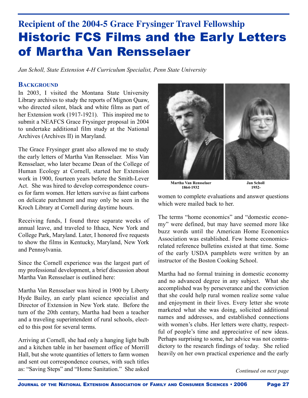## **Recipient of the 2004-5 Grace Frysinger Travel Fellowship** Historic FCS Films and the Early Letters of Martha Van Rensselaer

*Jan Scholl, State Extension 4-H Curriculum Specialist, Penn State University*

#### **BACKGROUND**

In 2003, I visited the Montana State University Library archives to study the reports of Mignon Quaw, who directed silent, black and white films as part of her Extension work (1917-1921). This inspired me to submit a NEAFCS Grace Frysinger proposal in 2004 to undertake additional film study at the National Archives (Archives II) in Maryland.

The Grace Frysinger grant also allowed me to study the early letters of Martha Van Rensselaer. Miss Van Rensselaer, who later became Dean of the College of Human Ecology at Cornell, started her Extension work in 1900, fourteen years before the Smith-Lever Act. She was hired to develop correspondence courses for farm women. Her letters survive as faint carbons on delicate parchment and may only be seen in the Kroch Library at Cornell during daytime hours.

Receiving funds, I found three separate weeks of annual leave, and traveled to Ithaca, New York and College Park, Maryland. Later, I honored five requests to show the films in Kentucky, Maryland, New York and Pennsylvania.

Since the Cornell experience was the largest part of my professional development, a brief discussion about Martha Van Rensselaer is outlined here:

Martha Van Rensselaer was hired in 1900 by Liberty Hyde Bailey, an early plant science specialist and Director of Extension in New York state. Before the turn of the 20th century, Martha had been a teacher and a traveling superintendent of rural schools, elected to this post for several terms.

Arriving at Cornell, she had only a hanging light bulb and a kitchen table in her basement office of Morrill Hall, but she wrote quantities of letters to farm women and sent out correspondence courses, with such titles as: "Saving Steps" and "Home Sanitation." She asked



**Martha Van Rensselaer Jan Scholl 1864-1932 1952-**

women to complete evaluations and answer questions which were mailed back to her.

The terms "home economics" and "domestic economy" were defined, but may have seemed more like buzz words until the American Home Economics Association was established. Few home economicsrelated reference bulletins existed at that time. Some of the early USDA pamphlets were written by an instructor of the Boston Cooking School.

Martha had no formal training in domestic economy and no advanced degree in any subject. What she accomplished was by perseverance and the conviction that she could help rural women realize some value and enjoyment in their lives. Every letter she wrote marketed what she was doing, solicited additional names and addresses, and established connections with women's clubs. Her letters were chatty, respectful of people's time and appreciative of new ideas. Perhaps surprising to some, her advice was not contradictory to the research findings of today. She relied heavily on her own practical experience and the early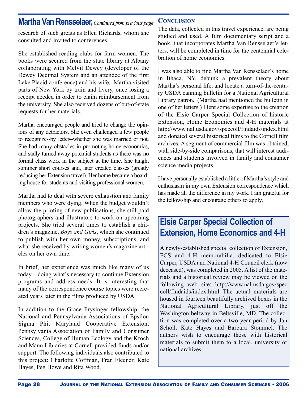## **Martha Van Rensselaer,***Continued from previous page*

research of such greats as Ellen Richards, whom she consulted and invited to conferences.

She established reading clubs for farm women. The books were secured from the state library at Albany collaborating with Melvil Dewey (developer of the Dewey Decimal System and an attendee of the first Lake Placid conference) and his wife. Martha visited parts of New York by train and livery, once losing a receipt needed in order to claim reimbursement from the university. She also received dozens of out-of-state requests for her materials.

Martha encouraged people and tried to change the opinions of any detractors. She even challenged a few people to recognize--by letter--whether she was married or not. She had many obstacles in promoting home economics, and sadly turned away potential students as there was no formal class work in the subject at the time. She taught summer short courses and, later created classes (greatly reducing her Extension travel). Her home became a boarding house for students and visiting professional women.

Martha had to deal with severe exhaustion and family members who were dying. When the budget wouldn't allow the printing of new publications, she still paid photographers and illustrators to work on upcoming projects. She tried several times to establish a children's magazine, *Boys and Girls*, which she continued to publish with her own money, subscriptions, and what she received by writing women's magazine articles on her own time.

In brief, her experience was much like many of us today—doing what's necessary to continue Extension programs and address needs. It is interesting that many of the correspondence course topics were recreated years later in the films produced by USDA.

In addition to the Grace Frysinger fellowship, the National and Pennsylvania Associations of Epsilon Sigma Phi, Maryland Cooperative Extension, Pennsylvania Association of Family and Consumer Sciences, College of Human Ecology and the Kroch and Mann Libraries at Cornell provided funds and/or support. The following individuals also contributed to this project: Charlotte Coffman, Fran Fleener, Kate Hayes, Peg Howe and Rita Wood.

## **CONCLUSION**

The data, collected in this travel experience, are being studied and used. A film documentary script and a book, that incorporates Martha Van Rensselaer's letters, will be completed in time for the centennial celebration of home economics.

I was also able to find Martha Van Rensselaer's home in Ithaca, NY, debunk a prevalent theory about Martha's personal life, and locate a turn-of-the-century USDA canning bulletin for a National Agricultural Library patron. (Martha had mentioned the bulletin in one of her letters.) I lent some expertise to the creation of the Elsie Carper Special Collection of historic Extension, Home Economics and 4-H materials at http://www.nal.usda.gov/speccoll/findaids/index.html and donated several historical films to the Cornell film archives. A segment of commercial film was obtained, with side-by-side comparisons, that will interest audiences and students involved in family and consumer science media projects.

I have personally established a little of Martha's style and enthusiasm in my own Extension correspondence which has made all the difference in my work. I am grateful for the fellowship and encourage others to apply.

## **Elsie Carper Special Collection of Extension, Home Economics and 4-H**

A newly-established special collection of Extension, FCS and 4-H memorabilia, dedicated to Elsie Carper, USDA and National 4-H Council clerk (now deceased), was completed in 2005. A list of the materials and a historical review may be viewed on the following web site: http://www.nal.usda.gov/spec coll/findaids/index.html. The actual materials are housed in fourteen beautifully archived boxes in the National Agricultural Library, just off the Washington beltway in Beltsville, MD. The collection was completed over a two year period by Jan Scholl, Kate Hayes and Barbara Stommel. The authors wish to encourage those with historical materials to submit them to a local, university or national archives.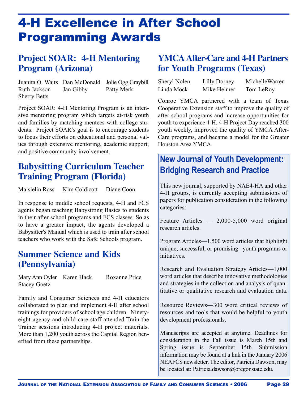# 4-H Excellence in After School Programming Awards

## **Project SOAR: 4-H Mentoring Program (Arizona)**

Juanita O. Waits Dan McDonald Jolie Ogg Graybill Ruth Jackson Jan Gibby Patty Merk Sherry Betts

Project SOAR: 4-H Mentoring Program is an intensive mentoring program which targets at-risk youth and families by matching mentees with college students. Project SOAR's goal is to encourage students to focus their efforts on educational and personal values through extensive mentoring, academic support, and positive community involvement.

## **Babysitting Curriculum Teacher Training Program (Florida)**

Maisielin Ross Kim Coldicott Diane Coon

In response to middle school requests, 4-H and FCS agents began teaching Babysitting Basics to students in their after school programs and FCS classes. So as to have a greater impact, the agents developed a Babysitter's Manual which is used to train after school teachers who work with the Safe Schools program.

## **Summer Science and Kids (Pennsylvania)**

Mary Ann Oyler Karen Hack Roxanne Price Stacey Goetz

Family and Consumer Sciences and 4-H educators collaborated to plan and implement 4-H after school trainings for providers of school age children. Ninetyeight agency and child care staff attended Train the Trainer sessions introducing 4-H project materials. More than 1,200 youth across the Capital Region benefited from these partnerships.

## **YMCA After-Care and 4-H Partners for Youth Programs (Texas)**

| Sheryl Nolen | Lilly Dorney | MichelleWarren |
|--------------|--------------|----------------|
| Linda Mock   | Mike Heimer  | Tom LeRoy      |

Conroe YMCA partnered with a team of Texas Cooperative Extension staff to improve the quality of after school programs and increase opportunities for youth to experience 4-H. 4-H Project Day reached 300 youth weekly, improved the quality of YMCA After-Care programs, and became a model for the Greater Houston Area YMCA.

## **New Journal of Youth Development: Bridging Research and Practice**

This new journal, supported by NAE4-HA and other 4-H groups, is currently accepting submissions of papers for publication consideration in the following categories:

Feature Articles — 2,000-5,000 word original research articles.

Program Articles—1,500 word articles that highlight unique, successful, or promising youth programs or initiatives.

Research and Evaluation Strategy Articles—1,000 word articles that describe innovative methodologies and strategies in the collection and analysis of quantitative or qualitative research and evaluation data.

Resource Reviews—300 word critical reviews of resources and tools that would be helpful to youth development professionals.

Manuscripts are accepted at anytime. Deadlines for consideration in the Fall issue is March 15th and Spring issue is September 15th. Submission information may be found at a link in the January 2006 NEAFCS newsletter. The editor, Patricia Dawson, may be located at: Patricia.dawson@oregonstate.edu.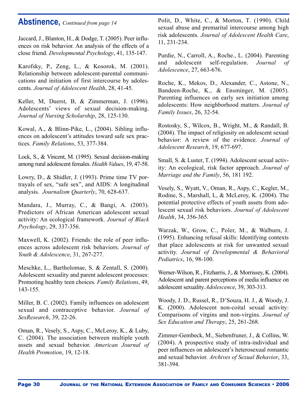## **Abstinence,** *Continued from page 14*

Jaccard, J., Blanton, H., & Dodge, T. (2005). Peer influences on risk behavior. An analysis of the effects of a close friend. *Developmental Psychology*, 41, 135-147.

Karofsky, P., Zeng, L., & Kosorok, M.  $(2001)$ . Relationship between adolescent-parental communications and initiation of first intercourse by adolescents. *Journal of Adolescent Health*, 28, 41-45.

Keller, M, Duerst, B, & Zimmerman, J. (1996). Adolescents' views of sexual decision-making. *Journal of Nursing Scholarship*, 28, 125-130.

Kowal, A., & Blinn-Pike, L., (2004). Sibling influences on adolescent's attitudes toward safe sex practices. *Family Relations*, 53, 377-384.

Lock, S., & Vincent, M. (1995). Sexual decision-making among rural adolescent females. *Health Values*, 19, 47-58.

Lowry, D., & Shidler, J. (1993). Prime time TV portrayals of sex, "safe sex", and AIDS: A longitudinal analysis. *Journalism Quarterly*, 70, 628-637.

Mandara, J., Murray, C., & Bangi, A. (2003). Predictors of African American adolescent sexual activity: An ecological framework. *Journal of Black Psychology*, 29, 337-356.

Maxwell, K. (2002). Friends: the role of peer influences across adolescent risk behaviors. *Journal of Youth & Adolescence*, 31, 267-277.

Meschke, L., Bartholomae, S. & Zentall, S. (2000). Adolescent sexuality and parent adolescent processes: Promoting healthy teen choices. *Family Relations*, 49, 143-155.

Miller, B. C. (2002). Family influences on adolescent sexual and contraceptive behavior. *Journal of SexResearch*, 39, 22-26.

Oman, R., Vesely, S., Aspy, C., McLeroy, K., & Luby, C. (2004). The association between multiple youth assets and sexual behavior. *American Journal of Health Promotion*, 19, 12-18.

Polit, D., White, C., & Morton, T. (1990). Child sexual abuse and premarital intercourse among high risk adolescents. *Journal of Adolescent Health Care*, 11, 231-234.

Purdie, N., Carroll, A., Roche., L. (2004). Parenting and adolescent self-regulation. *Journal of Adolescence*, 27, 663-676.

Roche, K., Mekos, D., Alexander, C., Astone, N., Bandeen-Roche, K., & Ensminger, M. (2005). Parenting influences on early sex initiation among adolescents: How neighborhood matters. *Journal of Family Issues*, 26, 32-54.

Rostosky, S., Wilcox, B., Wright, M., & Randall, B. (2004). The impact of religiosity on adolescent sexual behavior: A review of the evidence. *Journal of Adolescent Research*, 19, 677-697.

Small, S. & Luster, T. (1994). Adolescent sexual activity: An ecological, risk factor approach. *Journal of Marriage and the Family*, 56, 181 192.

Vesely, S., Wyatt, V., Oman, R., Aspy, C., Kegler, M., Rodine, S., Marshall, L, & McLeroy, K. (2004). The potential protective effects of youth assets from adolescent sexual risk behaviors. *Journal of Adolescent Health*, 34, 356-365.

Warzak, W., Grow, C., Poler, M., & Walburn, J. (1995). Enhancing refusal skills: Identifying contexts that place adolescents at risk for unwanted sexual activity. *Journal of Developmental & Behavioral Pediatrics*, 16, 98-100.

Werner-Wilson, R., Fitzharris, J., & Morrissey, K. (2004). Adolescent and parent perceptions of media influence on adolescent sexuality. *Adolescence*, 39, 303-313.

Woody, J. D., Russel, R., D'Souza, H. J., & Woody, J. K. (2000). Adolescent non-coital sexual activity: Comparisons of virgins and non-virgins. *Journal of Sex Education and Therapy*, 25, 261-268.

Zimmer-Gembeck, M., Siebenfruner, J., & Collins, W. (2004). A prospective study of intra-individual and peer influences on adolescent's heterosexual romantic and sexual behavior. *Archives of Sexual Behavior*, 33, 381-394.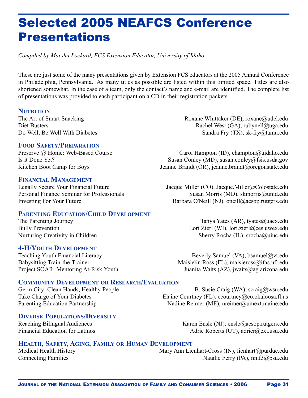# Selected 2005 NEAFCS Conference Presentations

*Compiled by Marsha Lockard, FCS Extension Educator, University of Idaho*

These are just some of the many presentations given by Extension FCS educators at the 2005 Annual Conference in Philadelphia, Pennsylvania. As many titles as possible are listed within this limited space. Titles are also shortened somewhat. In the case of a team, only the contact's name and e-mail are identified. The complete list of presentations was provided to each participant on a CD in their registration packets.

## **NUTRITION**

### **FOOD SAFETY/PREPARATION**

#### **FINANCIAL MANAGEMENT**

## **PARENTING EDUCATION/CHILD DEVELOPMENT**

### **4-H/YOUTH DEVELOPMENT**

The Art of Smart Snacking Roxane Whittaker (DE), roxane@udel.edu Diet Busters Rachel West (GA), rubynell@uga.edu Do Well, Be Well With Diabetes Sandra Fry (TX), sk-fry@tamu.edu

Preserve @ Home: Web-Based Course Carol Hampton (ID), champton (a)uidaho.edu Is it Done Yet? Susan Conley (MD), susan.conley@fsis.usda.gov Kitchen Boot Camp for Boys Jeanne Brandt (OR), jeanne.brandt@oregonstate.edu

Legally Secure Your Financial Future Jacque Miller (CO), Jacque.Miller (*CO*), Gasebucheedu Personal Finance Seminar for Professionals Susan Morris (MD), skmorris (a) umd.edu Investing For Your Future Barbara O'Neill (NJ), oneill@aesop.rutgers.edu

The Parenting Journey Tanya Yates (AR), tyates (aluex.edu Bully Prevention Lori Zierl (WI), lori.zierl@ces.uwex.edu Nurturing Creativity in Children Sherry Rocha (IL), srocha@uiuc.edu

Teaching Youth Financial Literacy Beverly Samuel (VA), bsamuel a vt. edu Babysitting Train-the-Trainer Maisielin Ross (FL), maisieross@ifas.ufl.edu Project SOAR: Mentoring At-Risk Youth Juanita Waits (AZ), jwaits (ag. arizona.edu

## **COMMUNITY DEVELOPMENT OR RESEARCH/EVALUATION**

## **DIVERSE POPULATIONS/DIVERSITY**

Germ City: Clean Hands, Healthy People B. Susie Craig (WA), scraig @wsu.edu Take Charge of Your Diabetes Elaine Courtney (FL), ecourtney (a) constaloosa.fl.us Parenting Education Partnership Nadine Reimer (ME), nreimer (a) umext.maine.edu

Karen Ensle (NJ), ensle@aesop.rutgers.edu Financial Education for Latinos Adrie Roberts (UT), adrier@ext.usu.edu

## **HEALTH, SAFETY, AGING, FAMILY OR HUMAN DEVELOPMENT**

Medical Health History Mary Ann Lienhart-Cross (IN), lienhart@purdue.edu Connecting Families Natalie Ferry (PA), nmf3@psu.edu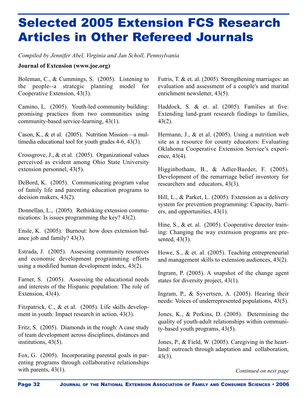# Selected 2005 Extension FCS Research Articles in Other Refereed Journals

*Compiled by Jennifer Abel, Virginia and Jan Scholl, Pennsylvania*

#### **Journal of Extension (www.joe.org)**

Boleman, C., & Cummings, S. (2005). Listening to the people--a strategic planning model for Cooperative Extension, 43(3).

Camino, L. (2005). Youth-led community building: promising practices from two communities using community-based service-learning, 43(1).

Cason, K., & et al. (2005). Nutrition Mission—a multimedia educational tool for youth grades 4-6, 43(3).

Crossgrove, J., & et al. (2005). Organizational values perceived as evident among Ohio State University extension personnel, 43(5).

DeBord, K. (2005). Communicating program value of family life and parenting education programs to decision makers, 43(2).

Donnellan, L., (2005). Rethinking extension communications: Is issues programming the key? 43(2).

Ensle, K. (2005). Burnout: how does extension balance job and family? 43(3).

Estrada, J. (2005). Assessing community resources and economic development programming efforts using a modified human development index, 43(2).

Farner, S. (2005). Assessing the educational needs and interests of the Hispanic population: The role of Extension, 43(4).

Fitzpatrick, C., & et al. (2005). Life skills development in youth: Impact research in action, 43(3).

Fritz, S. (2005). Diamonds in the rough: A case study of team development across disciplines, distances and institutions, 43(5).

Fox, G. (2005). Incorporating parental goals in parenting programs through collaborative relationships with parents,  $43(1)$ .

Futris, T. & et. al. (2005). Strengthening marriages: an evaluation and assessment of a couple's and marital enrichment newsletter, 43(5).

Haddock, S. & et. al. (2005). Families at five: Extending land-grant research findings to families, 43(2).

Hermann, J., & et al. (2005). Using a nutrition web site as a resource for county educators: Evaluating Oklahoma Cooperative Extension Service's experience, 43(4).

Higginbotham, B., & Adler-Baeder, F. (2005). Development of the remarriage belief inventory for researchers and educators, 43(3).

Hill, L., & Parket, L. (2005). Extension as a delivery system for prevention programming: Capacity, barriers, and opportunities, 43(1).

Hine, S., & et. al. (2005). Cooperative director training: Changing the way extension programs are presented, 43(3).

Howe, S., & et. al. (2005). Teaching entrepreneurial and management skills to extension audiences, 43(2).

Ingram, P. (2005). A snapshot of the change agent states for diversity project, 43(1).

Ingram, P., & Syvertsen, A. (2005). Hearing their needs: Voices of underrepresented populations, 43(5).

Jones, K., & Perkins, D. (2005). Determining the quality of youth-adult relationships within community-based youth programs, 43(5).

Jones, P., & Field, W. (2005). Caregiving in the heartland: outreach through adaptation and collaboration, 43(3).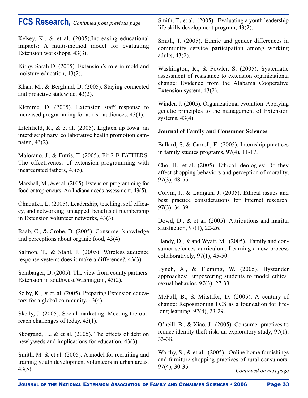## **FCS Research,** *Continued from previous page*

Kelsey, K., & et al. (2005).Increasing educational impacts: A multi-method model for evaluating Extension workshops, 43(3).

Kirby, Sarah D. (2005). Extension's role in mold and moisture education, 43(2).

Khan, M., & Berglund, D. (2005). Staying connected and proactive statewide, 43(2).

Klemme, D. (2005). Extension staff response to increased programming for at-risk audiences, 43(1).

Litchfield, R., & et al. (2005). Lighten up Iowa: an interdisciplinary, collaborative health promotion campaign, 43(2).

Maiorano, J., & Futris, T. (2005). Fit 2-B FATHERS: The effectiveness of extension programming with incarcerated fathers, 43(5).

Marshall, M., & et al. (2005). Extension programming for food entrepreneurs: An Indiana needs assessment, 43(5).

Ohnoutka, L. (2005). Leadership, teaching, self efficacy, and networking: untapped benefits of membership in Extension volunteer networks, 43(3).

Raab, C., & Grobe, D. (2005). Consumer knowledge and perceptions about organic food, 43(4).

Salmon, T., & Stahl, J. (2005). Wireless audience response system: does it make a difference?, 43(3).

Seinbarger, D. (2005). The view from county partners: Extension in southwest Washington, 43(2).

Selby, K., & et. al. (2005). Preparing Extension educators for a global community, 43(4).

Skelly, J. (2005). Social marketing: Meeting the outreach challenges of today, 43(1).

Skogrand, L., & et al. (2005). The effects of debt on newlyweds and implications for education, 43(3).

Smith, M. & et al. (2005). A model for recruiting and training youth development volunteers in urban areas, 43(5).

Smith, T., et al. (2005). Evaluating a youth leadership life skills development program, 43(2).

Smith, T. (2005). Ethnic and gender differences in community service participation among working adults, 43(2).

Washington, R., & Fowler, S. (2005). Systematic assessment of resistance to extension organizational change: Evidence from the Alabama Cooperative Extension system, 43(2).

Winder, J. (2005). Organizational evolution: Applying genetic principles to the management of Extension systems, 43(4).

## **Journal of Family and Consumer Sciences**

Ballard, S. & Carroll, E. (2005). Internship practices in family studies programs, 97(4), 11-17.

Cho, H., et al. (2005). Ethical ideologies: Do they affect shopping behaviors and perception of morality, 97(3), 48-55.

Colvin, J., & Lanigan, J. (2005). Ethical issues and best practice considerations for Internet research, 97(3), 34-39.

Dowd, D., & et al. (2005). Attributions and marital satisfaction, 97(1), 22-26.

Handy, D., & and Wyatt, M. (2005). Family and consumer sciences curriculum: Learning a new process collaboratively, 97(1), 45-50.

Lynch, A., & Fleming, W. (2005). Bystander approaches: Empowering students to model ethical sexual behavior, 97(3), 27-33.

McFall, B., & Mitstifer, D. (2005). A century of change: Repositioning FCS as a foundation for lifelong learning, 97(4), 23-29.

O'neill, B., & Xiao, J. (2005). Consumer practices to reduce identity theft risk: an exploratory study, 97(1), 33-38.

Worthy, S., & et al. (2005). Online home furnishings and furniture shopping practices of rural consumers, 97(4), 30-35.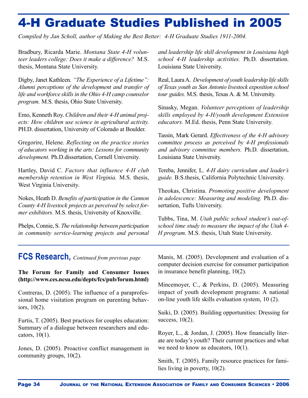# 4-H Graduate Studies Published in 2005

*Compiled by Jan Scholl, author of Making the Best Better: 4-H Graduate Studies 1911-2004.*

Bradbury, Ricarda Marie. *Montana State 4-H volunteer leaders college: Does it make a difference?* M.S. thesis, Montana State University.

Digby, Janet Kathleen. "The Experience of a Lifetime": *Alumni perceptions of the development and transfer of life and workforce skills in the Ohio 4-H camp counselor program.* M.S. thesis, Ohio State University.

Emo, Kenneth Roy. *Children and their 4-H animal projects: How children use science in agricultural activity.* PH.D. dissertation, University of Colorado at Boulder.

Gregorire, Helene. *Reflecting on the practice stories of educators working in the arts: Lessons for community development*. Ph.D.dissertation, Cornell University.

Hartley, David C. *Factors that influence 4-H club membership retention in West Virginia.* M.S. thesis, West Virginia University.

Nokes, Heath D. *Benefits of participation in the Cannon County 4-H livestock projects as perceived by select former exhibitors.* M.S. thesis, University of Knoxville.

Phelps, Connie, S. *The relationship between participation in community service-learning projects and personal*

**FCS Research,** *Continued from previous page*

**The Forum for Family and Consumer Issues** (http://www.ces.ncsu.edu/depts/fcs/pub/forum.html)

Contreras, D. (2005). The influence of a paraprofessional home visitation program on parenting behaviors, 10(2).

Furtis, T. (2005). Best practices for couples education: Summary of a dialogue between researchers and educators, 10(1).

Jones, D. (2005). Proactive conflict management in community groups, 10(2).

*and leadership life skill development in Louisiana high school 4-H leadership activities.* Ph.D. dissertation. Louisiana State University.

Real, LauraA. *Development of youth leadership life skills of Texas youth as San Antonio livestock exposition school tour guides.* M.S. thesis, Texas A. & M. University.

Sinasky, Megan. *Volunteer perceptions of leadership skills employed by 4-H/youth development Extension educators.* M.Ed. thesis, Penn State University.

Tassin, Mark Gerard. *Effectiveness of the 4-H advisory committee process as perceived by 4-H professionals and advisory committee members.* Ph.D. dissertation, Louisiana State University.

Tereba, Jennifer, L. *4-H dairy curriculum and leader's guide.* B.S.thesis, California Polytechnic University.

Theokas, Christina. *Promoting positive development in adolescence: Measuring and modeling.* Ph.D. dissertation, Tufts University.

Tubbs, Tina, M. *Utah public school student's out-ofschool time study to measure the impact of the Utah 4- H program.* M.S. thesis, Utah State University.

Manis, M. (2005). Development and evaluation of a computer decision exercise for consumer participation in insurance benefit planning, 10(2).

Mincemoyer, C., & Perkins, D. (2005). Measuring impact of youth development programs: A national on-line youth life skills evaluation system, 10 (2).

Saiki, D. (2005). Building opportunities: Dressing for success, 10(2).

Royer, L., & Jordan, J. (2005). How financially literate are today's youth? Their current practices and what we need to know as educators,  $10(1)$ .

Smith, T. (2005). Family resource practices for families living in poverty, 10(2).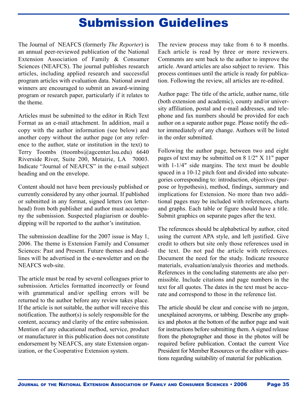## Submission Guidelines

The Journal of NEAFCS (formerly *The Reporter*) is an annual peer-reviewed publication of the National Extension Association of Family & Consumer Sciences (NEAFCS). The journal publishes research articles, including applied research and successful program articles with evaluation data. National award winners are encouraged to submit an award-winning program or research paper, particularly if it relates to the theme.

Articles must be submitted to the editor in Rich Text Format as an e-mail attachment. In addition, mail a copy with the author information (see below) and another copy without the author page (or any reference to the author, state or institution in the text) to Terry Toombs (ttoombs@agcenter.lsu.edu) 6640 Riverside River, Suite 200, Metairie, LA 70003. Indicate "Journal of NEAFCS" in the e-mail subject heading and on the envelope.

Content should not have been previously published or currently considered by any other journal. If published or submitted in any format, signed letters (on letterhead) from both publisher and author must accompany the submission. Suspected plagiarism or doubledipping will be reported to the author's institution.

The submission deadline for the 2007 issue is May 1, 2006. The theme is Extension Family and Consumer Sciences: Past and Present. Future themes and deadlines will be advertised in the e-newsletter and on the NEAFCS web-site.

The article must be read by several colleagues prior to submission. Articles formatted incorrectly or found with grammatical and/or spelling errors will be returned to the author before any review takes place. If the article is not suitable, the author will receive this notification. The author(s) is solely responsible for the content, accuracy and clarity of the entire submission. Mention of any educational method, service, product or manufacturer in this publication does not constitute endorsement by NEAFCS, any state Extension organization, or the Cooperative Extension system.

The review process may take from 6 to 8 months. Each article is read by three or more reviewers. Comments are sent back to the author to improve the article. Award articles are also subject to review. This process continues until the article is ready for publication. Following the review, all articles are re-edited.

Author page: The title of the article, author name, title (both extension and academic), county and/or university affiliation, postal and e-mail addresses, and telephone and fax numbers should be provided for each author on a separate author page. Please notify the editor immediately of any change. Authors will be listed in the order submitted.

Following the author page, between two and eight pages of text may be submitted on 8 1/2" X 11" paper with 1-1/4" side margins. The text must be double spaced in a 10-12 pitch font and divided into subcategories corresponding to: introduction, objectives (purpose or hypothesis), method, findings, summary and implications for Extension. No more than two additional pages may be included with references, charts and graphs. Each table or figure should have a title. Submit graphics on separate pages after the text.

The references should be alphabetical by author, cited using the current APA style, and left justified. Give credit to others but site only those references used in the text. Do not pad the article with references. Document the need for the study. Indicate resource materials, evaluation/analysis theories and methods. References in the concluding statements are also permissible. Include citations and page numbers in the text for all quotes. The dates in the text must be accurate and correspond to those in the reference list.

The article should be clear and concise with no jargon, unexplained acronyms, or tabbing. Describe any graphics and photos at the bottom of the author page and wait for instructions before submitting them. A signed release from the photographer and those in the photos will be required before publication. Contact the current Vice President for Member Resources or the editor with questions regarding suitability of material for publication.